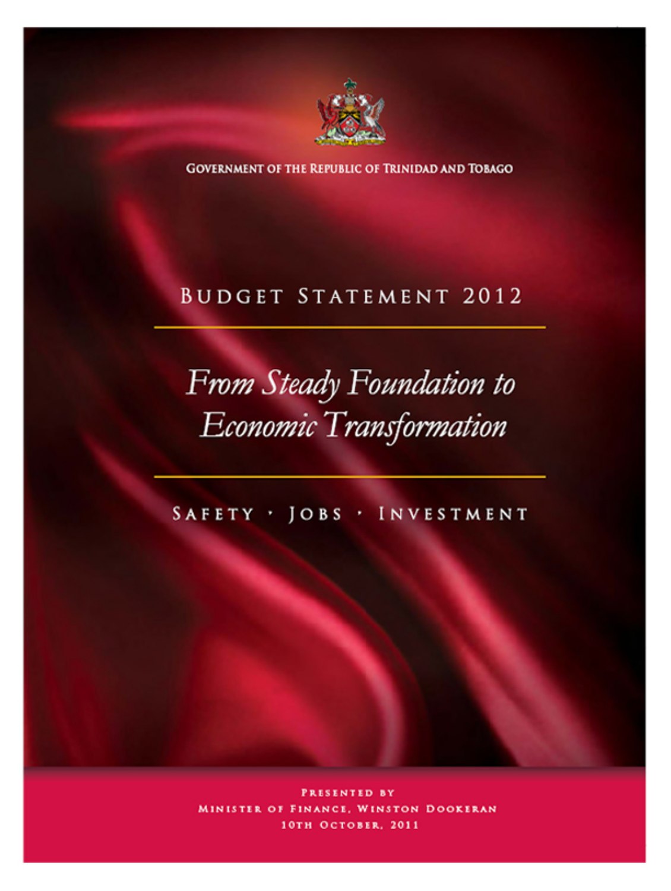

**GOVERNMENT OF THE REPUBLIC OF TRINIDAD AND TOBAGO** 

# **BUDGET STATEMENT 2012**

# From Steady Foundation to Economic Transformation

SAFETY ' JOBS ' INVESTMENT

PRESENTED BY MINISTER OF FINANCE, WINSTON DOOKERAN 10ТН ОСТОВЕВ, 2011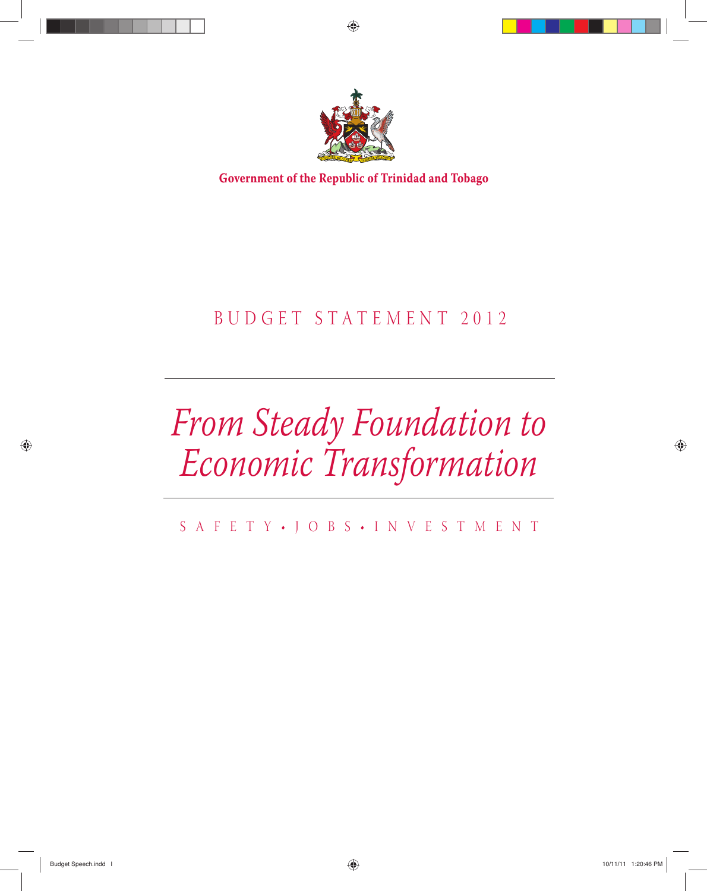

**Government of the Republic of Trinidad and Tobago**

# BUDGET STATEMEN T 2012

# *From Steady Foundation to Economic Transformation*

S A F E T Y • J O B S • I N V E S T M E N T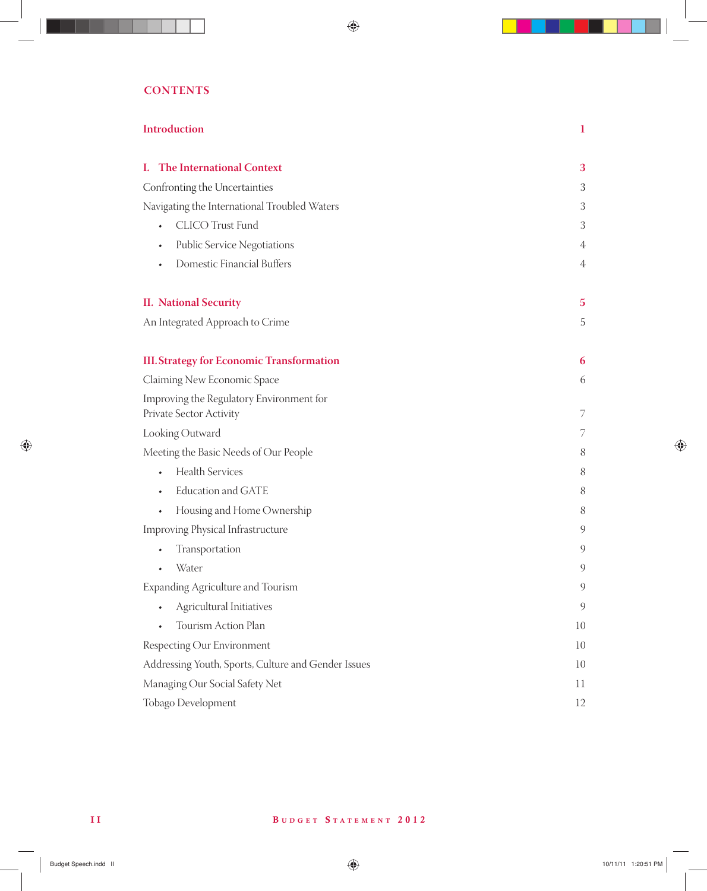## **CONTENTS**

| Introduction                                                        | $\mathbf{1}$   |
|---------------------------------------------------------------------|----------------|
| I. The International Context                                        | 3              |
| Confronting the Uncertainties                                       | 3              |
| Navigating the International Troubled Waters                        | 3              |
| <b>CLICO</b> Trust Fund                                             | 3              |
| Public Service Negotiations<br>٠                                    | 4              |
| Domestic Financial Buffers                                          | 4              |
| <b>II.</b> National Security                                        | $\overline{5}$ |
| An Integrated Approach to Crime                                     | 5              |
| <b>III. Strategy for Economic Transformation</b>                    | 6              |
| Claiming New Economic Space                                         | 6              |
| Improving the Regulatory Environment for<br>Private Sector Activity | 7              |
| Looking Outward                                                     | 7              |
| Meeting the Basic Needs of Our People                               | 8              |
| <b>Health Services</b>                                              | 8              |
| <b>Education and GATE</b>                                           | 8              |
| Housing and Home Ownership<br>$\bullet$                             | 8              |
| Improving Physical Infrastructure                                   | 9              |
| Transportation                                                      | 9              |
| Water                                                               | 9              |
| Expanding Agriculture and Tourism                                   | 9              |
| Agricultural Initiatives                                            | 9              |
| Tourism Action Plan                                                 | 10             |
| Respecting Our Environment                                          | 10             |
| Addressing Youth, Sports, Culture and Gender Issues                 | 10             |
| Managing Our Social Safety Net                                      | 11             |
| Tobago Development                                                  | 12             |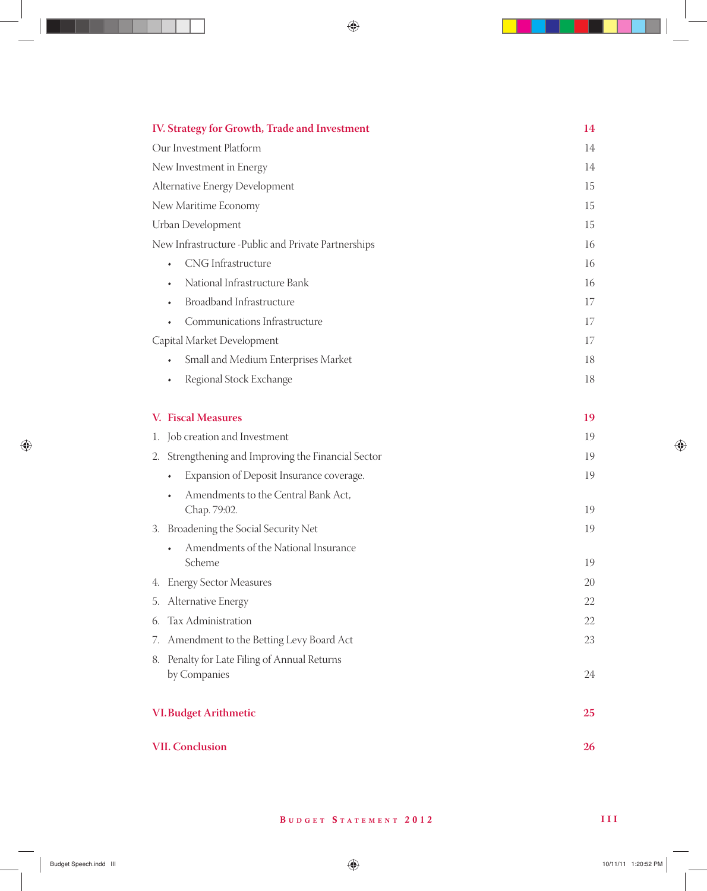| IV. Strategy for Growth, Trade and Investment                   | 14        |
|-----------------------------------------------------------------|-----------|
| Our Investment Platform                                         | 14        |
| New Investment in Energy                                        | 14        |
| Alternative Energy Development                                  | 15        |
| New Maritime Economy                                            | 15        |
| Urban Development                                               | 15        |
| New Infrastructure - Public and Private Partnerships            | 16        |
| CNG Infrastructure<br>٠                                         | 16        |
| National Infrastructure Bank<br>٠                               | 16        |
| <b>Broadband Infrastructure</b>                                 | 17        |
| Communications Infrastructure                                   | 17        |
| Capital Market Development                                      | 17        |
| Small and Medium Enterprises Market                             | 18        |
| Regional Stock Exchange<br>$\bullet$                            | 18        |
| <b>V. Fiscal Measures</b>                                       | 19        |
| Job creation and Investment<br>I.                               | 19        |
| Strengthening and Improving the Financial Sector<br>2.          | 19        |
| Expansion of Deposit Insurance coverage.                        | 19        |
| Amendments to the Central Bank Act,                             |           |
| Chap. 79:02.                                                    | 19        |
| 3. Broadening the Social Security Net                           | 19        |
| Amendments of the National Insurance<br>Scheme                  | 19        |
|                                                                 |           |
| 4. Energy Sector Measures                                       | $20\,$    |
| 5. Alternative Energy                                           | 22        |
| Tax Administration<br>6.                                        | 22        |
| Amendment to the Betting Levy Board Act<br>7.                   | 23        |
| Penalty for Late Filing of Annual Returns<br>8.<br>by Companies | 24        |
|                                                                 |           |
| <b>VI. Budget Arithmetic</b>                                    | 25        |
| <b>VII. Conclusion</b>                                          | <b>26</b> |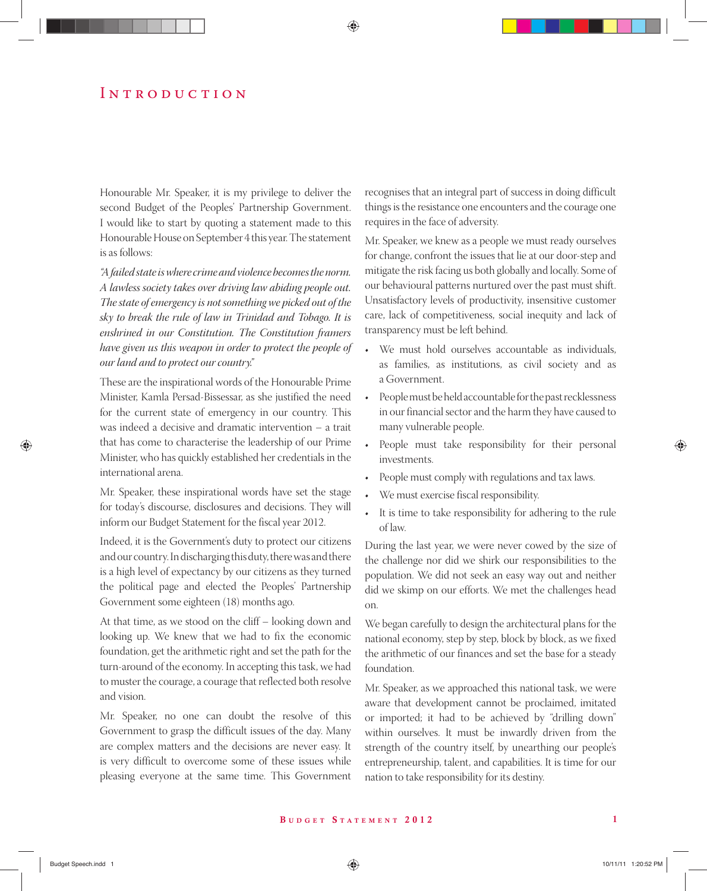#### INTRODUCTION

Honourable Mr. Speaker, it is my privilege to deliver the second Budget of the Peoples' Partnership Government. I would like to start by quoting a statement made to this Honourable House on September 4 this year. The statement is as follows:

*"A failed state is where crime and violence becomes the norm. A lawless society takes over driving law abiding people out. The state of emergency is not something we picked out of the sky to break the rule of law in Trinidad and Tobago. It is enshrined in our Constitution. The Constitution framers have given us this weapon in order to protect the people of our land and to protect our country."*

These are the inspirational words of the Honourable Prime Minister, Kamla Persad-Bissessar, as she justified the need for the current state of emergency in our country. This was indeed a decisive and dramatic intervention – a trait that has come to characterise the leadership of our Prime Minister, who has quickly established her credentials in the international arena.

Mr. Speaker, these inspirational words have set the stage for today's discourse, disclosures and decisions. They will inform our Budget Statement for the fiscal year 2012.

Indeed, it is the Government's duty to protect our citizens and our country. In discharging this duty, there was and there is a high level of expectancy by our citizens as they turned the political page and elected the Peoples' Partnership Government some eighteen (18) months ago.

At that time, as we stood on the cliff – looking down and looking up. We knew that we had to fix the economic foundation, get the arithmetic right and set the path for the turn-around of the economy. In accepting this task, we had to muster the courage, a courage that reflected both resolve and vision.

Mr. Speaker, no one can doubt the resolve of this Government to grasp the difficult issues of the day. Many are complex matters and the decisions are never easy. It is very difficult to overcome some of these issues while pleasing everyone at the same time. This Government

recognises that an integral part of success in doing difficult things is the resistance one encounters and the courage one requires in the face of adversity.

Mr. Speaker, we knew as a people we must ready ourselves for change, confront the issues that lie at our door-step and mitigate the risk facing us both globally and locally. Some of our behavioural patterns nurtured over the past must shift. Unsatisfactory levels of productivity, insensitive customer care, lack of competitiveness, social inequity and lack of transparency must be left behind.

- We must hold ourselves accountable as individuals, as families, as institutions, as civil society and as a Government.
- People must be held accountable for the past recklessness in our financial sector and the harm they have caused to many vulnerable people.
- People must take responsibility for their personal investments.
- People must comply with regulations and tax laws.
- We must exercise fiscal responsibility.
- It is time to take responsibility for adhering to the rule of law.

During the last year, we were never cowed by the size of the challenge nor did we shirk our responsibilities to the population. We did not seek an easy way out and neither did we skimp on our efforts. We met the challenges head on.

We began carefully to design the architectural plans for the national economy, step by step, block by block, as we fixed the arithmetic of our finances and set the base for a steady foundation.

Mr. Speaker, as we approached this national task, we were aware that development cannot be proclaimed, imitated or imported; it had to be achieved by "drilling down" within ourselves. It must be inwardly driven from the strength of the country itself, by unearthing our people's entrepreneurship, talent, and capabilities. It is time for our nation to take responsibility for its destiny.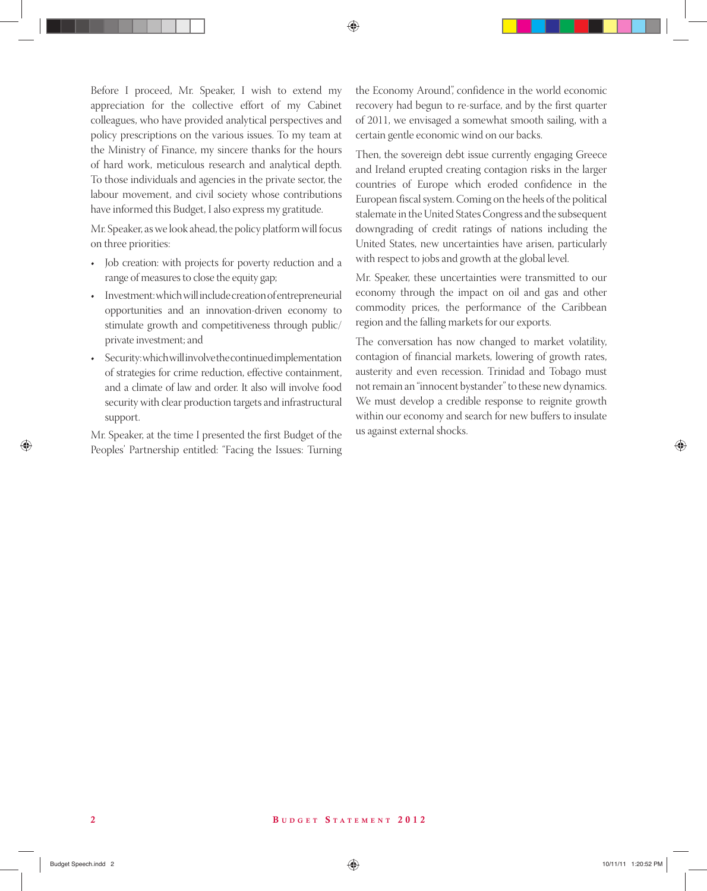Before I proceed, Mr. Speaker, I wish to extend my appreciation for the collective effort of my Cabinet colleagues, who have provided analytical perspectives and policy prescriptions on the various issues. To my team at the Ministry of Finance, my sincere thanks for the hours of hard work, meticulous research and analytical depth. To those individuals and agencies in the private sector, the labour movement, and civil society whose contributions have informed this Budget, I also express my gratitude.

Mr. Speaker, as we look ahead, the policy platform will focus on three priorities:

- Job creation: with projects for poverty reduction and a range of measures to close the equity gap;
- Investment: which will include creation of entrepreneurial opportunities and an innovation-driven economy to stimulate growth and competitiveness through public/ private investment; and
- Security: which will involve the continued implementation of strategies for crime reduction, effective containment, and a climate of law and order. It also will involve food security with clear production targets and infrastructural support.

Mr. Speaker, at the time I presented the first Budget of the Peoples' Partnership entitled: "Facing the Issues: Turning the Economy Around", confidence in the world economic recovery had begun to re-surface, and by the first quarter of 2011, we envisaged a somewhat smooth sailing, with a certain gentle economic wind on our backs.

Then, the sovereign debt issue currently engaging Greece and Ireland erupted creating contagion risks in the larger countries of Europe which eroded confidence in the European fiscal system. Coming on the heels of the political stalemate in the United States Congress and the subsequent downgrading of credit ratings of nations including the United States, new uncertainties have arisen, particularly with respect to jobs and growth at the global level.

Mr. Speaker, these uncertainties were transmitted to our economy through the impact on oil and gas and other commodity prices, the performance of the Caribbean region and the falling markets for our exports.

The conversation has now changed to market volatility, contagion of financial markets, lowering of growth rates, austerity and even recession. Trinidad and Tobago must not remain an "innocent bystander" to these new dynamics. We must develop a credible response to reignite growth within our economy and search for new buffers to insulate us against external shocks.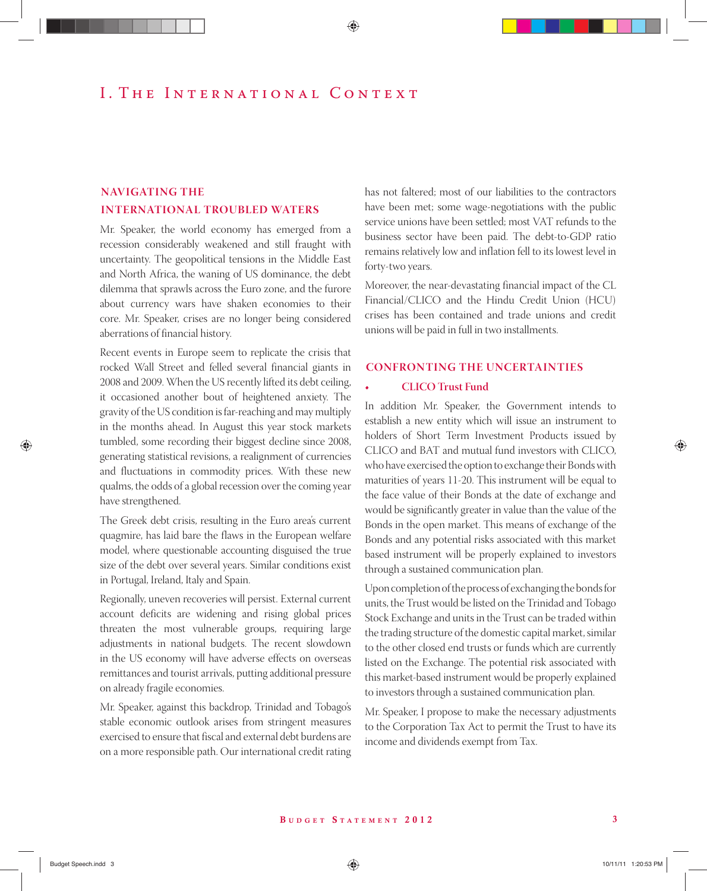### **NAVIGATING THE INTERNATIONAL TROUBLED WATERS**

Mr. Speaker, the world economy has emerged from a recession considerably weakened and still fraught with uncertainty. The geopolitical tensions in the Middle East and North Africa, the waning of US dominance, the debt dilemma that sprawls across the Euro zone, and the furore about currency wars have shaken economies to their core. Mr. Speaker, crises are no longer being considered aberrations of financial history.

Recent events in Europe seem to replicate the crisis that rocked Wall Street and felled several financial giants in 2008 and 2009. When the US recently lifted its debt ceiling, it occasioned another bout of heightened anxiety. The gravity of the US condition is far-reaching and may multiply in the months ahead. In August this year stock markets tumbled, some recording their biggest decline since 2008, generating statistical revisions, a realignment of currencies and fluctuations in commodity prices. With these new qualms, the odds of a global recession over the coming year have strengthened.

The Greek debt crisis, resulting in the Euro area's current quagmire, has laid bare the flaws in the European welfare model, where questionable accounting disguised the true size of the debt over several years. Similar conditions exist in Portugal, Ireland, Italy and Spain.

Regionally, uneven recoveries will persist. External current account deficits are widening and rising global prices threaten the most vulnerable groups, requiring large adjustments in national budgets. The recent slowdown in the US economy will have adverse effects on overseas remittances and tourist arrivals, putting additional pressure on already fragile economies.

Mr. Speaker, against this backdrop, Trinidad and Tobago's stable economic outlook arises from stringent measures exercised to ensure that fiscal and external debt burdens are on a more responsible path. Our international credit rating

has not faltered; most of our liabilities to the contractors have been met; some wage-negotiations with the public service unions have been settled; most VAT refunds to the business sector have been paid. The debt-to-GDP ratio remains relatively low and inflation fell to its lowest level in forty-two years.

Moreover, the near-devastating financial impact of the CL Financial/CLICO and the Hindu Credit Union (HCU) crises has been contained and trade unions and credit unions will be paid in full in two installments.

#### **CONFRONTING THE UNCERTAINTIES**

#### **• CLICO Trust Fund**

In addition Mr. Speaker, the Government intends to establish a new entity which will issue an instrument to holders of Short Term Investment Products issued by CLICO and BAT and mutual fund investors with CLICO, who have exercised the option to exchange their Bonds with maturities of years 11-20. This instrument will be equal to the face value of their Bonds at the date of exchange and would be significantly greater in value than the value of the Bonds in the open market. This means of exchange of the Bonds and any potential risks associated with this market based instrument will be properly explained to investors through a sustained communication plan.

Upon completion of the process of exchanging the bonds for units, the Trust would be listed on the Trinidad and Tobago Stock Exchange and units in the Trust can be traded within the trading structure of the domestic capital market, similar to the other closed end trusts or funds which are currently listed on the Exchange. The potential risk associated with this market-based instrument would be properly explained to investors through a sustained communication plan.

Mr. Speaker, I propose to make the necessary adjustments to the Corporation Tax Act to permit the Trust to have its income and dividends exempt from Tax.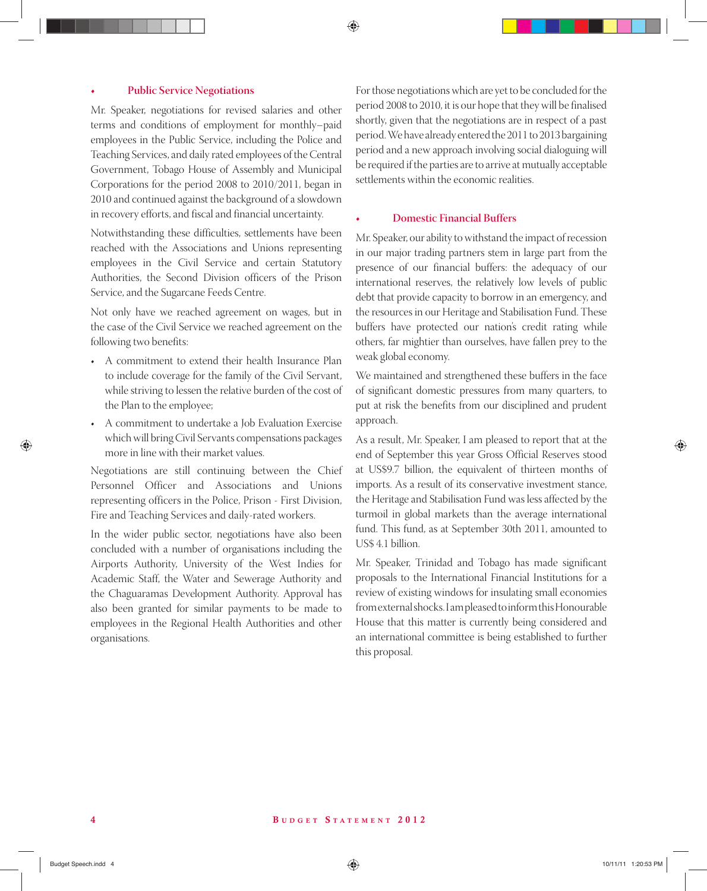#### **• Public Service Negotiations**

Mr. Speaker, negotiations for revised salaries and other terms and conditions of employment for monthly–paid employees in the Public Service, including the Police and Teaching Services, and daily rated employees of the Central Government, Tobago House of Assembly and Municipal Corporations for the period 2008 to 2010/2011, began in 2010 and continued against the background of a slowdown in recovery efforts, and fiscal and financial uncertainty.

Notwithstanding these difficulties, settlements have been reached with the Associations and Unions representing employees in the Civil Service and certain Statutory Authorities, the Second Division officers of the Prison Service, and the Sugarcane Feeds Centre.

Not only have we reached agreement on wages, but in the case of the Civil Service we reached agreement on the following two benefits:

- A commitment to extend their health Insurance Plan to include coverage for the family of the Civil Servant, while striving to lessen the relative burden of the cost of the Plan to the employee;
- A commitment to undertake a Job Evaluation Exercise which will bring Civil Servants compensations packages more in line with their market values.

Negotiations are still continuing between the Chief Personnel Officer and Associations and Unions representing officers in the Police, Prison - First Division, Fire and Teaching Services and daily-rated workers.

In the wider public sector, negotiations have also been concluded with a number of organisations including the Airports Authority, University of the West Indies for Academic Staff, the Water and Sewerage Authority and the Chaguaramas Development Authority. Approval has also been granted for similar payments to be made to employees in the Regional Health Authorities and other organisations.

For those negotiations which are yet to be concluded for the period 2008 to 2010, it is our hope that they will be finalised shortly, given that the negotiations are in respect of a past period. We have already entered the 2011 to 2013 bargaining period and a new approach involving social dialoguing will be required if the parties are to arrive at mutually acceptable settlements within the economic realities.

#### **• Domestic Financial Buffers**

Mr. Speaker, our ability to withstand the impact of recession in our major trading partners stem in large part from the presence of our financial buffers: the adequacy of our international reserves, the relatively low levels of public debt that provide capacity to borrow in an emergency, and the resources in our Heritage and Stabilisation Fund. These buffers have protected our nation's credit rating while others, far mightier than ourselves, have fallen prey to the weak global economy.

We maintained and strengthened these buffers in the face of significant domestic pressures from many quarters, to put at risk the benefits from our disciplined and prudent approach.

As a result, Mr. Speaker, I am pleased to report that at the end of September this year Gross Official Reserves stood at US\$9.7 billion, the equivalent of thirteen months of imports. As a result of its conservative investment stance, the Heritage and Stabilisation Fund was less affected by the turmoil in global markets than the average international fund. This fund, as at September 30th 2011, amounted to US\$ 4.1 billion.

Mr. Speaker, Trinidad and Tobago has made significant proposals to the International Financial Institutions for a review of existing windows for insulating small economies from external shocks. I am pleased to inform this Honourable House that this matter is currently being considered and an international committee is being established to further this proposal.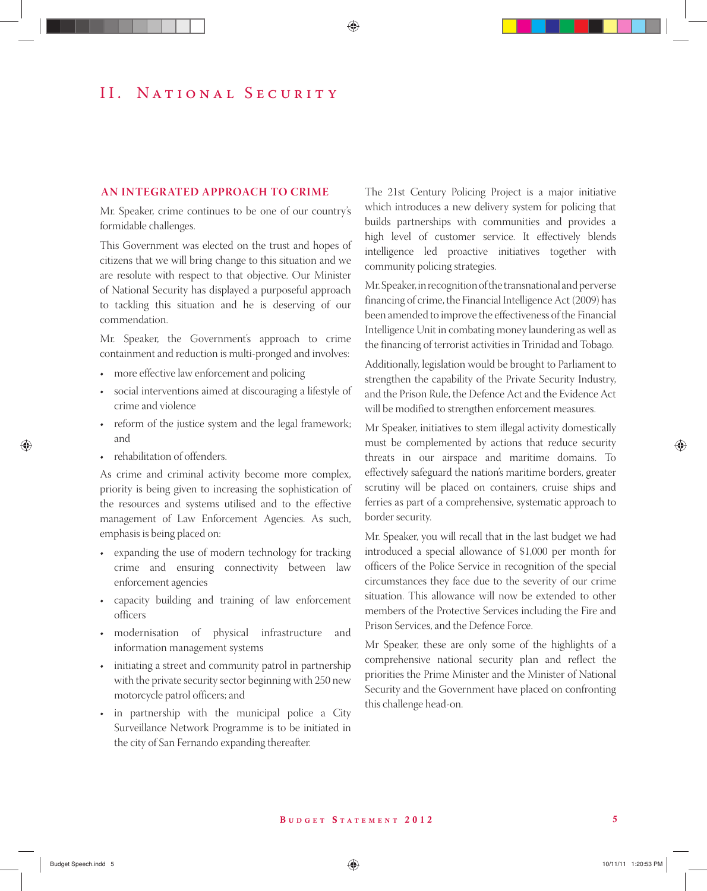#### **AN INTEGRATED APPROACH TO CRIME**

Mr. Speaker, crime continues to be one of our country's formidable challenges.

This Government was elected on the trust and hopes of citizens that we will bring change to this situation and we are resolute with respect to that objective. Our Minister of National Security has displayed a purposeful approach to tackling this situation and he is deserving of our commendation.

Mr. Speaker, the Government's approach to crime containment and reduction is multi-pronged and involves:

- more effective law enforcement and policing
- social interventions aimed at discouraging a lifestyle of crime and violence
- reform of the justice system and the legal framework; and
- rehabilitation of offenders.

As crime and criminal activity become more complex, priority is being given to increasing the sophistication of the resources and systems utilised and to the effective management of Law Enforcement Agencies. As such, emphasis is being placed on:

- expanding the use of modern technology for tracking crime and ensuring connectivity between law enforcement agencies
- capacity building and training of law enforcement officers
- modernisation of physical infrastructure and information management systems
- initiating a street and community patrol in partnership with the private security sector beginning with 250 new motorcycle patrol officers; and
- in partnership with the municipal police a City Surveillance Network Programme is to be initiated in the city of San Fernando expanding thereafter.

The 21st Century Policing Project is a major initiative which introduces a new delivery system for policing that builds partnerships with communities and provides a high level of customer service. It effectively blends intelligence led proactive initiatives together with community policing strategies.

Mr. Speaker, in recognition of the transnational and perverse financing of crime, the Financial Intelligence Act (2009) has been amended to improve the effectiveness of the Financial Intelligence Unit in combating money laundering as well as the financing of terrorist activities in Trinidad and Tobago.

Additionally, legislation would be brought to Parliament to strengthen the capability of the Private Security Industry, and the Prison Rule, the Defence Act and the Evidence Act will be modified to strengthen enforcement measures.

Mr Speaker, initiatives to stem illegal activity domestically must be complemented by actions that reduce security threats in our airspace and maritime domains. To effectively safeguard the nation's maritime borders, greater scrutiny will be placed on containers, cruise ships and ferries as part of a comprehensive, systematic approach to border security.

Mr. Speaker, you will recall that in the last budget we had introduced a special allowance of \$1,000 per month for officers of the Police Service in recognition of the special circumstances they face due to the severity of our crime situation. This allowance will now be extended to other members of the Protective Services including the Fire and Prison Services, and the Defence Force.

Mr Speaker, these are only some of the highlights of a comprehensive national security plan and reflect the priorities the Prime Minister and the Minister of National Security and the Government have placed on confronting this challenge head-on.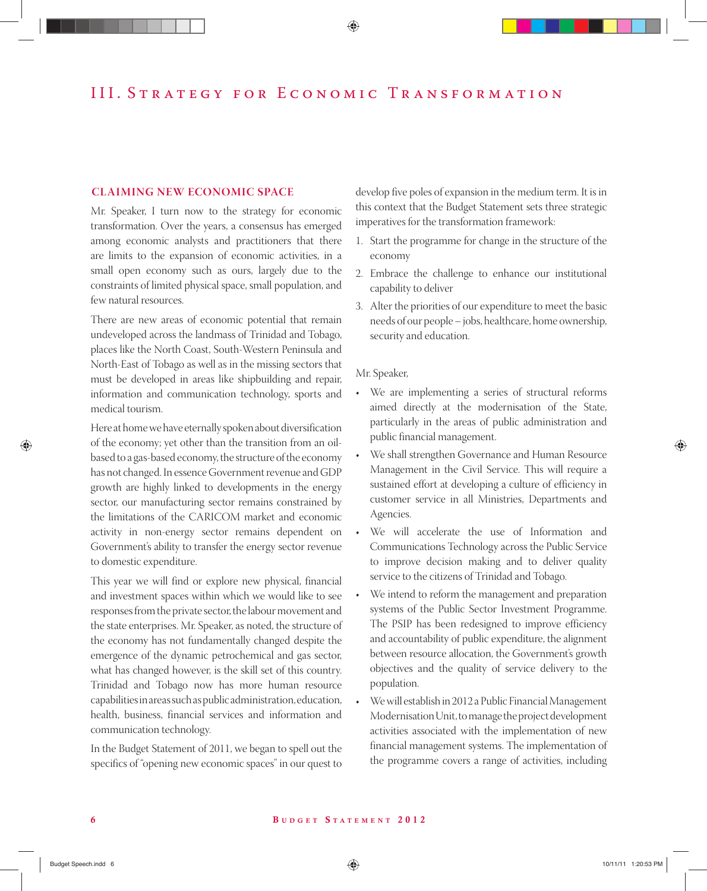#### **CL AIMING NEW ECONOMIC SPACE**

Mr. Speaker, I turn now to the strategy for economic transformation. Over the years, a consensus has emerged among economic analysts and practitioners that there are limits to the expansion of economic activities, in a small open economy such as ours, largely due to the constraints of limited physical space, small population, and few natural resources.

There are new areas of economic potential that remain undeveloped across the landmass of Trinidad and Tobago, places like the North Coast, South-Western Peninsula and North-East of Tobago as well as in the missing sectors that must be developed in areas like shipbuilding and repair, information and communication technology, sports and medical tourism.

Here at home we have eternally spoken about diversification of the economy; yet other than the transition from an oilbased to a gas-based economy, the structure of the economy has not changed. In essence Government revenue and GDP growth are highly linked to developments in the energy sector, our manufacturing sector remains constrained by the limitations of the CARICOM market and economic activity in non-energy sector remains dependent on Government's ability to transfer the energy sector revenue to domestic expenditure.

This year we will find or explore new physical, financial and investment spaces within which we would like to see responses from the private sector, the labour movement and the state enterprises. Mr. Speaker, as noted, the structure of the economy has not fundamentally changed despite the emergence of the dynamic petrochemical and gas sector, what has changed however, is the skill set of this country. Trinidad and Tobago now has more human resource capabilities in areas such as public administration, education, health, business, financial services and information and communication technology.

In the Budget Statement of 2011, we began to spell out the specifics of "opening new economic spaces" in our quest to

develop five poles of expansion in the medium term. It is in this context that the Budget Statement sets three strategic imperatives for the transformation framework:

- 1. Start the programme for change in the structure of the economy
- 2. Embrace the challenge to enhance our institutional capability to deliver
- 3. Alter the priorities of our expenditure to meet the basic needs of our people – jobs, healthcare, home ownership, security and education.

#### Mr. Speaker,

- We are implementing a series of structural reforms aimed directly at the modernisation of the State, particularly in the areas of public administration and public financial management.
- We shall strengthen Governance and Human Resource Management in the Civil Service. This will require a sustained effort at developing a culture of efficiency in customer service in all Ministries, Departments and Agencies.
- We will accelerate the use of Information and Communications Technology across the Public Service to improve decision making and to deliver quality service to the citizens of Trinidad and Tobago.
- We intend to reform the management and preparation systems of the Public Sector Investment Programme. The PSIP has been redesigned to improve efficiency and accountability of public expenditure, the alignment between resource allocation, the Government's growth objectives and the quality of service delivery to the population.
- We will establish in 2012 a Public Financial Management Modernisation Unit, to manage the project development activities associated with the implementation of new financial management systems. The implementation of the programme covers a range of activities, including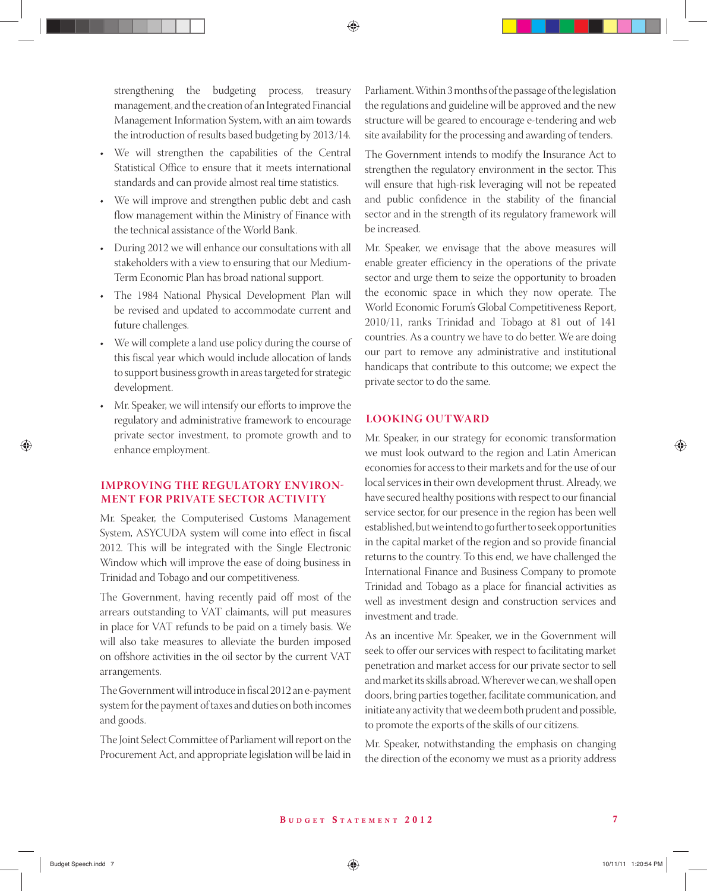strengthening the budgeting process, treasury management, and the creation of an Integrated Financial Management Information System, with an aim towards the introduction of results based budgeting by 2013/14.

- We will strengthen the capabilities of the Central Statistical Office to ensure that it meets international standards and can provide almost real time statistics.
- We will improve and strengthen public debt and cash flow management within the Ministry of Finance with the technical assistance of the World Bank.
- During 2012 we will enhance our consultations with all stakeholders with a view to ensuring that our Medium-Term Economic Plan has broad national support.
- The 1984 National Physical Development Plan will be revised and updated to accommodate current and future challenges.
- We will complete a land use policy during the course of this fiscal year which would include allocation of lands to support business growth in areas targeted for strategic development.
- Mr. Speaker, we will intensify our efforts to improve the regulatory and administrative framework to encourage private sector investment, to promote growth and to enhance employment.

#### **IMPROVING THE REGULATORY ENVIRON MENT FOR PRIVATE SECTOR ACTIVITY**

Mr. Speaker, the Computerised Customs Management System, ASYCUDA system will come into effect in fiscal 2012. This will be integrated with the Single Electronic Window which will improve the ease of doing business in Trinidad and Tobago and our competitiveness.

The Government, having recently paid off most of the arrears outstanding to VAT claimants, will put measures in place for VAT refunds to be paid on a timely basis. We will also take measures to alleviate the burden imposed on offshore activities in the oil sector by the current VAT arrangements.

The Government will introduce in fiscal 2012 an e-payment system for the payment of taxes and duties on both incomes and goods.

The Joint Select Committee of Parliament will report on the Procurement Act, and appropriate legislation will be laid in Parliament. Within 3 months of the passage of the legislation the regulations and guideline will be approved and the new structure will be geared to encourage e-tendering and web site availability for the processing and awarding of tenders.

The Government intends to modify the Insurance Act to strengthen the regulatory environment in the sector. This will ensure that high-risk leveraging will not be repeated and public confidence in the stability of the financial sector and in the strength of its regulatory framework will be increased.

Mr. Speaker, we envisage that the above measures will enable greater efficiency in the operations of the private sector and urge them to seize the opportunity to broaden the economic space in which they now operate. The World Economic Forum's Global Competitiveness Report, 2010/11, ranks Trinidad and Tobago at 81 out of 141 countries. As a country we have to do better. We are doing our part to remove any administrative and institutional handicaps that contribute to this outcome; we expect the private sector to do the same.

#### **LOOKING OU T WARD**

Mr. Speaker, in our strategy for economic transformation we must look outward to the region and Latin American economies for access to their markets and for the use of our local services in their own development thrust. Already, we have secured healthy positions with respect to our financial service sector, for our presence in the region has been well established, but we intend to go further to seek opportunities in the capital market of the region and so provide financial returns to the country. To this end, we have challenged the International Finance and Business Company to promote Trinidad and Tobago as a place for financial activities as well as investment design and construction services and investment and trade.

As an incentive Mr. Speaker, we in the Government will seek to offer our services with respect to facilitating market penetration and market access for our private sector to sell and market its skills abroad. Wherever we can, we shall open doors, bring parties together, facilitate communication, and initiate any activity that we deem both prudent and possible, to promote the exports of the skills of our citizens.

Mr. Speaker, notwithstanding the emphasis on changing the direction of the economy we must as a priority address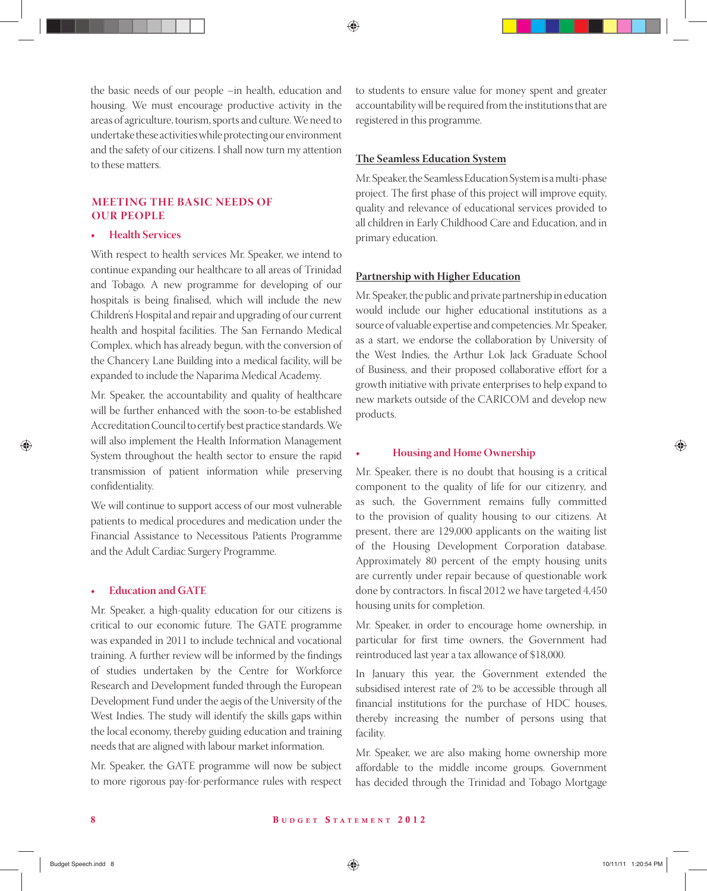the basic needs of our people –in health, education and housing. We must encourage productive activity in the areas of agriculture, tourism, sports and culture. We need to undertake these activities while protecting our environment and the safety of our citizens. I shall now turn my attention to these matters.

#### **MEETING THE BASIC NEEDS OF OUR PEOPLE**

#### **• Health Services**

With respect to health services Mr. Speaker, we intend to continue expanding our healthcare to all areas of Trinidad and Tobago. A new programme for developing of our hospitals is being finalised, which will include the new Children's Hospital and repair and upgrading of our current health and hospital facilities. The San Fernando Medical Complex, which has already begun, with the conversion of the Chancery Lane Building into a medical facility, will be expanded to include the Naparima Medical Academy.

Mr. Speaker, the accountability and quality of healthcare will be further enhanced with the soon-to-be established Accreditation Council to certify best practice standards. We will also implement the Health Information Management System throughout the health sector to ensure the rapid transmission of patient information while preserving confidentiality.

We will continue to support access of our most vulnerable patients to medical procedures and medication under the Financial Assistance to Necessitous Patients Programme and the Adult Cardiac Surgery Programme.

#### **• Education and GATE**

Mr. Speaker, a high-quality education for our citizens is critical to our economic future. The GATE programme was expanded in 2011 to include technical and vocational training. A further review will be informed by the findings of studies undertaken by the Centre for Workforce Research and Development funded through the European Development Fund under the aegis of the University of the West Indies. The study will identify the skills gaps within the local economy, thereby guiding education and training needs that are aligned with labour market information.

Mr. Speaker, the GATE programme will now be subject to more rigorous pay-for-performance rules with respect to students to ensure value for money spent and greater accountability will be required from the institutions that are registered in this programme.

#### **The Seamless Education System**

Mr. Speaker, the Seamless Education System is a multi-phase project. The first phase of this project will improve equity, quality and relevance of educational services provided to all children in Early Childhood Care and Education, and in primary education.

#### **Partnership with Higher Education**

Mr. Speaker, the public and private partnership in education would include our higher educational institutions as a source of valuable expertise and competencies. Mr. Speaker, as a start, we endorse the collaboration by University of the West Indies, the Arthur Lok Jack Graduate School of Business, and their proposed collaborative effort for a growth initiative with private enterprises to help expand to new markets outside of the CARICOM and develop new products.

#### **• Housing and Home Ownership**

Mr. Speaker, there is no doubt that housing is a critical component to the quality of life for our citizenry, and as such, the Government remains fully committed to the provision of quality housing to our citizens. At present, there are 129,000 applicants on the waiting list of the Housing Development Corporation database. Approximately 80 percent of the empty housing units are currently under repair because of questionable work done by contractors. In fiscal 2012 we have targeted 4,450 housing units for completion.

Mr. Speaker, in order to encourage home ownership, in particular for first time owners, the Government had reintroduced last year a tax allowance of \$18,000.

In January this year, the Government extended the subsidised interest rate of 2% to be accessible through all financial institutions for the purchase of HDC houses, thereby increasing the number of persons using that facility.

Mr. Speaker, we are also making home ownership more affordable to the middle income groups. Government has decided through the Trinidad and Tobago Mortgage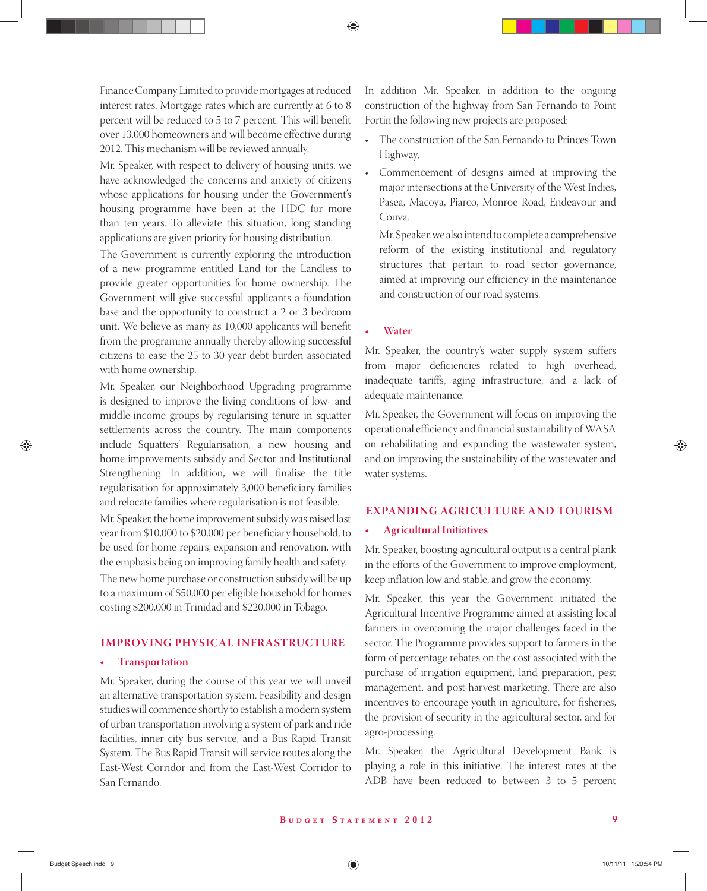Finance Company Limited to provide mortgages at reduced interest rates. Mortgage rates which are currently at 6 to 8 percent will be reduced to 5 to 7 percent. This will benefit over 13,000 homeowners and will become effective during 2012. This mechanism will be reviewed annually.

Mr. Speaker, with respect to delivery of housing units, we have acknowledged the concerns and anxiety of citizens whose applications for housing under the Government's housing programme have been at the HDC for more than ten years. To alleviate this situation, long standing applications are given priority for housing distribution.

The Government is currently exploring the introduction of a new programme entitled Land for the Landless to provide greater opportunities for home ownership. The Government will give successful applicants a foundation base and the opportunity to construct a 2 or 3 bedroom unit. We believe as many as 10,000 applicants will benefit from the programme annually thereby allowing successful citizens to ease the 25 to 30 year debt burden associated with home ownership.

Mr. Speaker, our Neighborhood Upgrading programme is designed to improve the living conditions of low- and middle-income groups by regularising tenure in squatter settlements across the country. The main components include Squatters' Regularisation, a new housing and home improvements subsidy and Sector and Institutional Strengthening. In addition, we will finalise the title regularisation for approximately 3,000 beneficiary families and relocate families where regularisation is not feasible.

Mr. Speaker, the home improvement subsidy was raised last year from \$10,000 to \$20,000 per beneficiary household, to be used for home repairs, expansion and renovation, with the emphasis being on improving family health and safety.

The new home purchase or construction subsidy will be up to a maximum of \$50,000 per eligible household for homes costing \$200,000 in Trinidad and \$220,000 in Tobago.

#### **IMPROVING PHYSICAL INFRASTRUCTURE**

#### **• Transportation**

Mr. Speaker, during the course of this year we will unveil an alternative transportation system. Feasibility and design studies will commence shortly to establish a modern system of urban transportation involving a system of park and ride facilities, inner city bus service, and a Bus Rapid Transit System. The Bus Rapid Transit will service routes along the East-West Corridor and from the East-West Corridor to San Fernando.

In addition Mr. Speaker, in addition to the ongoing construction of the highway from San Fernando to Point Fortin the following new projects are proposed:

- The construction of the San Fernando to Princes Town Highway,
- Commencement of designs aimed at improving the major intersections at the University of the West Indies, Pasea, Macoya, Piarco, Monroe Road, Endeavour and Couva.

 Mr. Speaker, we also intend to complete a comprehensive reform of the existing institutional and regulatory structures that pertain to road sector governance, aimed at improving our efficiency in the maintenance and construction of our road systems.

#### **• Water**

Mr. Speaker, the country's water supply system suffers from major deficiencies related to high overhead, inadequate tariffs, aging infrastructure, and a lack of adequate maintenance.

Mr. Speaker, the Government will focus on improving the operational efficiency and financial sustainability of WASA on rehabilitating and expanding the wastewater system, and on improving the sustainability of the wastewater and water systems.

#### **EXPANDING AGRICULTURE AND TOURISM**

#### **• Agricultural Initiatives**

Mr. Speaker, boosting agricultural output is a central plank in the efforts of the Government to improve employment, keep inflation low and stable, and grow the economy.

Mr. Speaker, this year the Government initiated the Agricultural Incentive Programme aimed at assisting local farmers in overcoming the major challenges faced in the sector. The Programme provides support to farmers in the form of percentage rebates on the cost associated with the purchase of irrigation equipment, land preparation, pest management, and post-harvest marketing. There are also incentives to encourage youth in agriculture, for fisheries, the provision of security in the agricultural sector, and for agro-processing.

Mr. Speaker, the Agricultural Development Bank is playing a role in this initiative. The interest rates at the ADB have been reduced to between 3 to 5 percent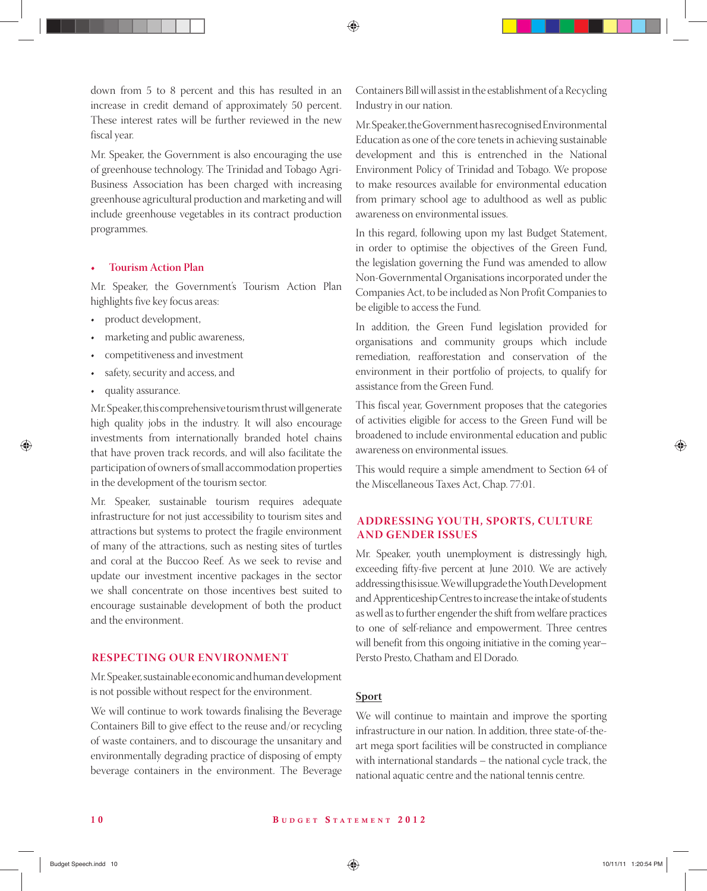down from 5 to 8 percent and this has resulted in an increase in credit demand of approximately 50 percent. These interest rates will be further reviewed in the new fiscal year.

Mr. Speaker, the Government is also encouraging the use of greenhouse technology. The Trinidad and Tobago Agri-Business Association has been charged with increasing greenhouse agricultural production and marketing and will include greenhouse vegetables in its contract production programmes.

#### **• Tourism Action Plan**

Mr. Speaker, the Government's Tourism Action Plan highlights five key focus areas:

- product development,
- marketing and public awareness,
- competitiveness and investment
- safety, security and access, and
- quality assurance.

Mr. Speaker, this comprehensive tourism thrust will generate high quality jobs in the industry. It will also encourage investments from internationally branded hotel chains that have proven track records, and will also facilitate the participation of owners of small accommodation properties in the development of the tourism sector.

Mr. Speaker, sustainable tourism requires adequate infrastructure for not just accessibility to tourism sites and attractions but systems to protect the fragile environment of many of the attractions, such as nesting sites of turtles and coral at the Buccoo Reef. As we seek to revise and update our investment incentive packages in the sector we shall concentrate on those incentives best suited to encourage sustainable development of both the product and the environment.

#### **RESPECTING OUR ENVIRONMENT**

Mr. Speaker, sustainable economic and human development is not possible without respect for the environment.

We will continue to work towards finalising the Beverage Containers Bill to give effect to the reuse and/or recycling of waste containers, and to discourage the unsanitary and environmentally degrading practice of disposing of empty beverage containers in the environment. The Beverage

Containers Bill will assist in the establishment of a Recycling Industry in our nation.

Mr. Speaker, the Government has recognised Environmental Education as one of the core tenets in achieving sustainable development and this is entrenched in the National Environment Policy of Trinidad and Tobago. We propose to make resources available for environmental education from primary school age to adulthood as well as public awareness on environmental issues.

In this regard, following upon my last Budget Statement, in order to optimise the objectives of the Green Fund, the legislation governing the Fund was amended to allow Non-Governmental Organisations incorporated under the Companies Act, to be included as Non Profit Companies to be eligible to access the Fund.

In addition, the Green Fund legislation provided for organisations and community groups which include remediation, reafforestation and conservation of the environment in their portfolio of projects, to qualify for assistance from the Green Fund.

This fiscal year, Government proposes that the categories of activities eligible for access to the Green Fund will be broadened to include environmental education and public awareness on environmental issues.

This would require a simple amendment to Section 64 of the Miscellaneous Taxes Act, Chap. 77:01.

#### **ADDRESSING YOUTH, SPORTS, CULTURE AND GENDER ISSUES**

Mr. Speaker, youth unemployment is distressingly high, exceeding fifty-five percent at June 2010. We are actively addressing this issue. We will upgrade the Youth Development and Apprenticeship Centres to increase the intake of students as well as to further engender the shift from welfare practices to one of self-reliance and empowerment. Three centres will benefit from this ongoing initiative in the coming year– Persto Presto, Chatham and El Dorado.

#### **Sport**

We will continue to maintain and improve the sporting infrastructure in our nation. In addition, three state-of-theart mega sport facilities will be constructed in compliance with international standards – the national cycle track, the national aquatic centre and the national tennis centre.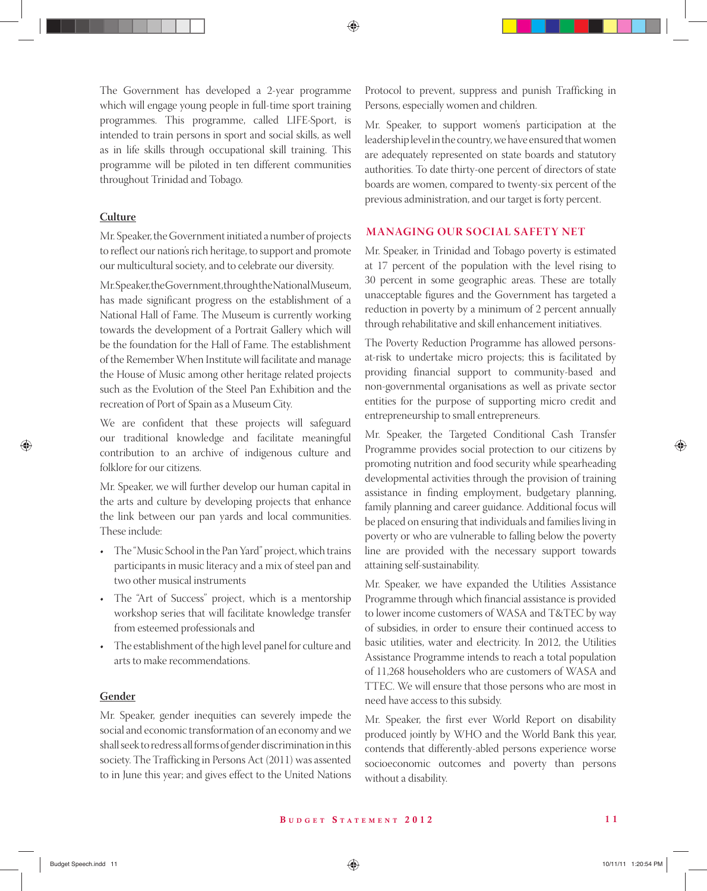The Government has developed a 2-year programme which will engage young people in full-time sport training programmes. This programme, called LIFE-Sport, is intended to train persons in sport and social skills, as well as in life skills through occupational skill training. This programme will be piloted in ten different communities throughout Trinidad and Tobago.

#### **Culture**

Mr. Speaker, the Government initiated a number of projects to reflect our nation's rich heritage, to support and promote our multicultural society, and to celebrate our diversity.

Mr. Speaker, the Government, through the National Museum, has made significant progress on the establishment of a National Hall of Fame. The Museum is currently working towards the development of a Portrait Gallery which will be the foundation for the Hall of Fame. The establishment of the Remember When Institute will facilitate and manage the House of Music among other heritage related projects such as the Evolution of the Steel Pan Exhibition and the recreation of Port of Spain as a Museum City.

We are confident that these projects will safeguard our traditional knowledge and facilitate meaningful contribution to an archive of indigenous culture and folklore for our citizens.

Mr. Speaker, we will further develop our human capital in the arts and culture by developing projects that enhance the link between our pan yards and local communities. These include:

- The "Music School in the Pan Yard" project, which trains participants in music literacy and a mix of steel pan and two other musical instruments
- The "Art of Success" project, which is a mentorship workshop series that will facilitate knowledge transfer from esteemed professionals and
- The establishment of the high level panel for culture and arts to make recommendations.

#### **Gender**

Mr. Speaker, gender inequities can severely impede the social and economic transformation of an economy and we shall seek to redress all forms of gender discrimination in this society. The Trafficking in Persons Act (2011) was assented to in June this year; and gives effect to the United Nations Protocol to prevent, suppress and punish Trafficking in Persons, especially women and children.

Mr. Speaker, to support women's participation at the leadership level in the country, we have ensured that women are adequately represented on state boards and statutory authorities. To date thirty-one percent of directors of state boards are women, compared to twenty-six percent of the previous administration, and our target is forty percent.

#### **MANAGING OUR SOCIAL SAFETY NET**

Mr. Speaker, in Trinidad and Tobago poverty is estimated at 17 percent of the population with the level rising to 30 percent in some geographic areas. These are totally unacceptable figures and the Government has targeted a reduction in poverty by a minimum of 2 percent annually through rehabilitative and skill enhancement initiatives.

The Poverty Reduction Programme has allowed personsat-risk to undertake micro projects; this is facilitated by providing financial support to community-based and non-governmental organisations as well as private sector entities for the purpose of supporting micro credit and entrepreneurship to small entrepreneurs.

Mr. Speaker, the Targeted Conditional Cash Transfer Programme provides social protection to our citizens by promoting nutrition and food security while spearheading developmental activities through the provision of training assistance in finding employment, budgetary planning, family planning and career guidance. Additional focus will be placed on ensuring that individuals and families living in poverty or who are vulnerable to falling below the poverty line are provided with the necessary support towards attaining self-sustainability.

Mr. Speaker, we have expanded the Utilities Assistance Programme through which financial assistance is provided to lower income customers of WASA and T&TEC by way of subsidies, in order to ensure their continued access to basic utilities, water and electricity. In 2012, the Utilities Assistance Programme intends to reach a total population of 11,268 householders who are customers of WASA and TTEC. We will ensure that those persons who are most in need have access to this subsidy.

Mr. Speaker, the first ever World Report on disability produced jointly by WHO and the World Bank this year, contends that differently-abled persons experience worse socioeconomic outcomes and poverty than persons without a disability.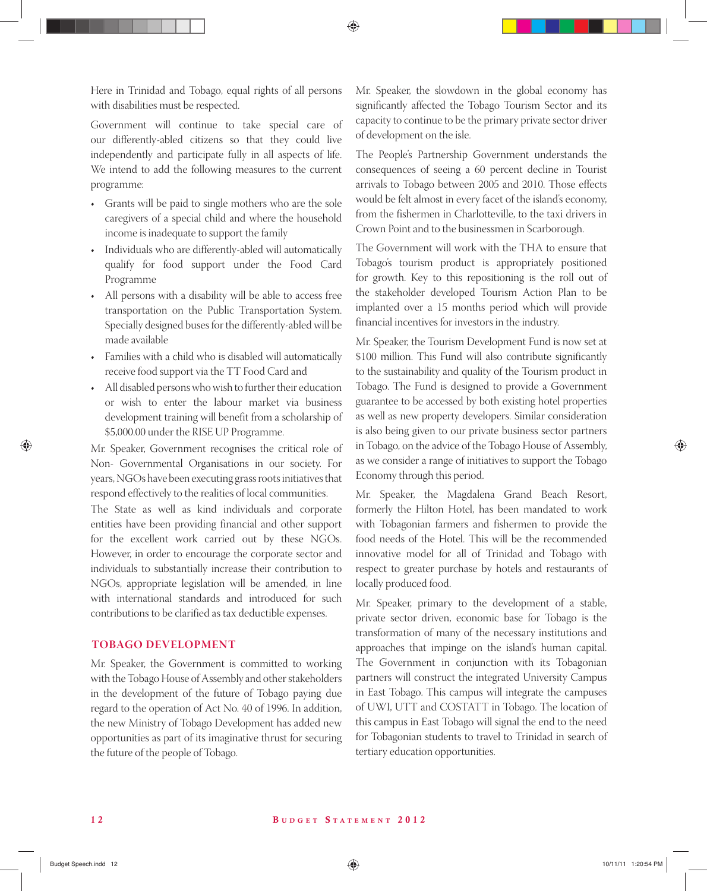Here in Trinidad and Tobago, equal rights of all persons with disabilities must be respected.

Government will continue to take special care of our differently-abled citizens so that they could live independently and participate fully in all aspects of life. We intend to add the following measures to the current programme:

- Grants will be paid to single mothers who are the sole caregivers of a special child and where the household income is inadequate to support the family
- Individuals who are differently-abled will automatically qualify for food support under the Food Card Programme
- All persons with a disability will be able to access free transportation on the Public Transportation System. Specially designed buses for the differently-abled will be made available
- Families with a child who is disabled will automatically receive food support via the TT Food Card and
- All disabled persons who wish to further their education or wish to enter the labour market via business development training will benefit from a scholarship of \$5,000.00 under the RISE UP Programme.

Mr. Speaker, Government recognises the critical role of Non- Governmental Organisations in our society. For years, NGOs have been executing grass roots initiatives that respond effectively to the realities of local communities.

The State as well as kind individuals and corporate entities have been providing financial and other support for the excellent work carried out by these NGOs. However, in order to encourage the corporate sector and individuals to substantially increase their contribution to NGOs, appropriate legislation will be amended, in line with international standards and introduced for such contributions to be clarified as tax deductible expenses.

#### **TOBAGO DEVELOPMENT**

Mr. Speaker, the Government is committed to working with the Tobago House of Assembly and other stakeholders in the development of the future of Tobago paying due regard to the operation of Act No. 40 of 1996. In addition, the new Ministry of Tobago Development has added new opportunities as part of its imaginative thrust for securing the future of the people of Tobago.

Mr. Speaker, the slowdown in the global economy has significantly affected the Tobago Tourism Sector and its capacity to continue to be the primary private sector driver of development on the isle.

The People's Partnership Government understands the consequences of seeing a 60 percent decline in Tourist arrivals to Tobago between 2005 and 2010. Those effects would be felt almost in every facet of the island's economy, from the fishermen in Charlotteville, to the taxi drivers in Crown Point and to the businessmen in Scarborough.

The Government will work with the THA to ensure that Tobago's tourism product is appropriately positioned for growth. Key to this repositioning is the roll out of the stakeholder developed Tourism Action Plan to be implanted over a 15 months period which will provide financial incentives for investors in the industry.

Mr. Speaker, the Tourism Development Fund is now set at \$100 million. This Fund will also contribute significantly to the sustainability and quality of the Tourism product in Tobago. The Fund is designed to provide a Government guarantee to be accessed by both existing hotel properties as well as new property developers. Similar consideration is also being given to our private business sector partners in Tobago, on the advice of the Tobago House of Assembly, as we consider a range of initiatives to support the Tobago Economy through this period.

Mr. Speaker, the Magdalena Grand Beach Resort, formerly the Hilton Hotel, has been mandated to work with Tobagonian farmers and fishermen to provide the food needs of the Hotel. This will be the recommended innovative model for all of Trinidad and Tobago with respect to greater purchase by hotels and restaurants of locally produced food.

Mr. Speaker, primary to the development of a stable, private sector driven, economic base for Tobago is the transformation of many of the necessary institutions and approaches that impinge on the island's human capital. The Government in conjunction with its Tobagonian partners will construct the integrated University Campus in East Tobago. This campus will integrate the campuses of UWI, UTT and COSTATT in Tobago. The location of this campus in East Tobago will signal the end to the need for Tobagonian students to travel to Trinidad in search of tertiary education opportunities.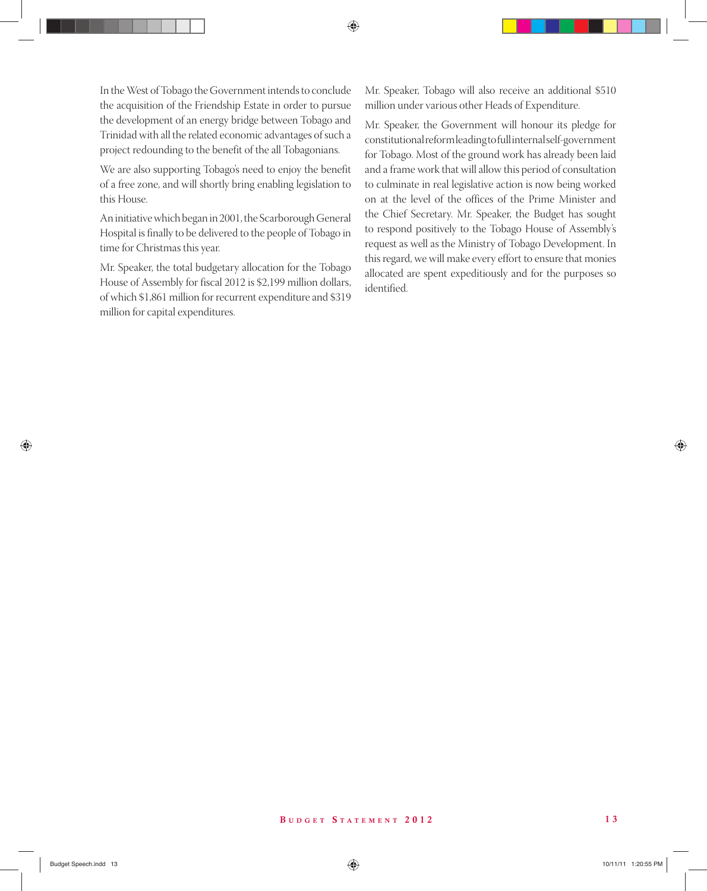In the West of Tobago the Government intends to conclude the acquisition of the Friendship Estate in order to pursue the development of an energy bridge between Tobago and Trinidad with all the related economic advantages of such a project redounding to the benefit of the all Tobagonians.

We are also supporting Tobago's need to enjoy the benefit of a free zone, and will shortly bring enabling legislation to this House.

An initiative which began in 2001, the Scarborough General Hospital is finally to be delivered to the people of Tobago in time for Christmas this year.

Mr. Speaker, the total budgetary allocation for the Tobago House of Assembly for fiscal 2012 is \$2,199 million dollars, of which \$1,861 million for recurrent expenditure and \$319 million for capital expenditures.

Mr. Speaker, Tobago will also receive an additional \$510 million under various other Heads of Expenditure.

Mr. Speaker, the Government will honour its pledge for constitutional reform leading to full internal self-government for Tobago. Most of the ground work has already been laid and a frame work that will allow this period of consultation to culminate in real legislative action is now being worked on at the level of the offices of the Prime Minister and the Chief Secretary. Mr. Speaker, the Budget has sought to respond positively to the Tobago House of Assembly's request as well as the Ministry of Tobago Development. In this regard, we will make every effort to ensure that monies allocated are spent expeditiously and for the purposes so identified.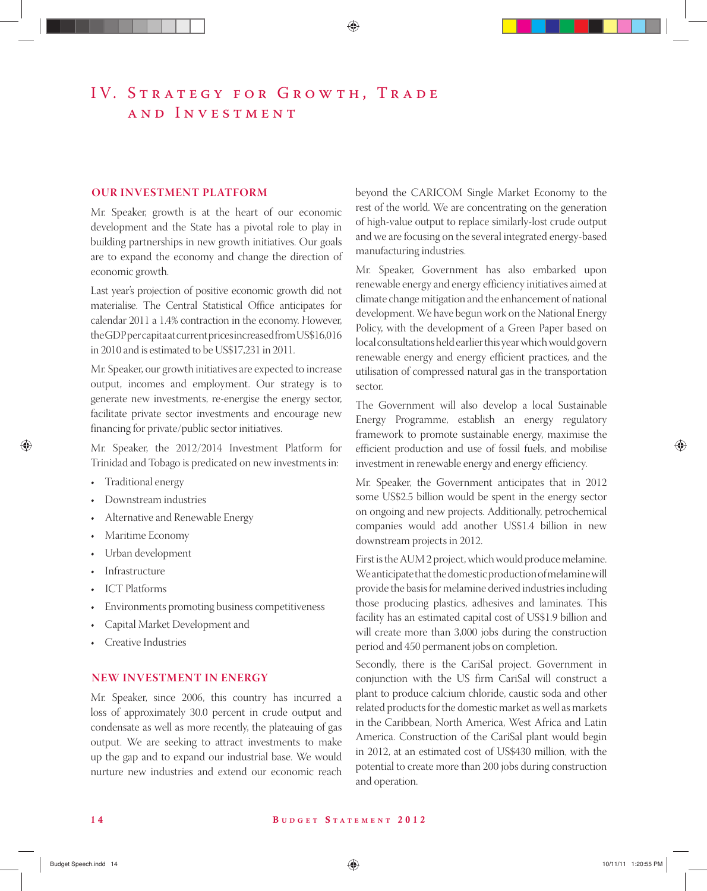# IV. STRATEGY FOR GROWTH, TRADE a n d I n v e s t m e n t

#### **OUR INVESTMENT PLATFORM**

Mr. Speaker, growth is at the heart of our economic development and the State has a pivotal role to play in building partnerships in new growth initiatives. Our goals are to expand the economy and change the direction of economic growth.

Last year's projection of positive economic growth did not materialise. The Central Statistical Office anticipates for calendar 2011 a 1.4% contraction in the economy. However, the GDP per capita at current prices increased from US\$16,016 in 2010 and is estimated to be US\$17,231 in 2011.

Mr. Speaker, our growth initiatives are expected to increase output, incomes and employment. Our strategy is to generate new investments, re-energise the energy sector, facilitate private sector investments and encourage new financing for private/public sector initiatives.

Mr. Speaker, the 2012/2014 Investment Platform for Trinidad and Tobago is predicated on new investments in:

- Traditional energy
- Downstream industries
- Alternative and Renewable Energy
- Maritime Economy
- Urban development
- **Infrastructure**
- ICT Platforms
- Environments promoting business competitiveness
- Capital Market Development and
- Creative Industries

#### **NEW INVESTMENT IN ENERGY**

Mr. Speaker, since 2006, this country has incurred a loss of approximately 30.0 percent in crude output and condensate as well as more recently, the plateauing of gas output. We are seeking to attract investments to make up the gap and to expand our industrial base. We would nurture new industries and extend our economic reach

beyond the CARICOM Single Market Economy to the rest of the world. We are concentrating on the generation of high-value output to replace similarly-lost crude output and we are focusing on the several integrated energy-based manufacturing industries.

Mr. Speaker, Government has also embarked upon renewable energy and energy efficiency initiatives aimed at climate change mitigation and the enhancement of national development. We have begun work on the National Energy Policy, with the development of a Green Paper based on local consultations held earlier this year which would govern renewable energy and energy efficient practices, and the utilisation of compressed natural gas in the transportation sector.

The Government will also develop a local Sustainable Energy Programme, establish an energy regulatory framework to promote sustainable energy, maximise the efficient production and use of fossil fuels, and mobilise investment in renewable energy and energy efficiency.

Mr. Speaker, the Government anticipates that in 2012 some US\$2.5 billion would be spent in the energy sector on ongoing and new projects. Additionally, petrochemical companies would add another US\$1.4 billion in new downstream projects in 2012.

First is the AUM 2 project, which would produce melamine. We anticipate that the domestic production of melamine will provide the basis for melamine derived industries including those producing plastics, adhesives and laminates. This facility has an estimated capital cost of US\$1.9 billion and will create more than 3,000 jobs during the construction period and 450 permanent jobs on completion.

Secondly, there is the CariSal project. Government in conjunction with the US firm CariSal will construct a plant to produce calcium chloride, caustic soda and other related products for the domestic market as well as markets in the Caribbean, North America, West Africa and Latin America. Construction of the CariSal plant would begin in 2012, at an estimated cost of US\$430 million, with the potential to create more than 200 jobs during construction and operation.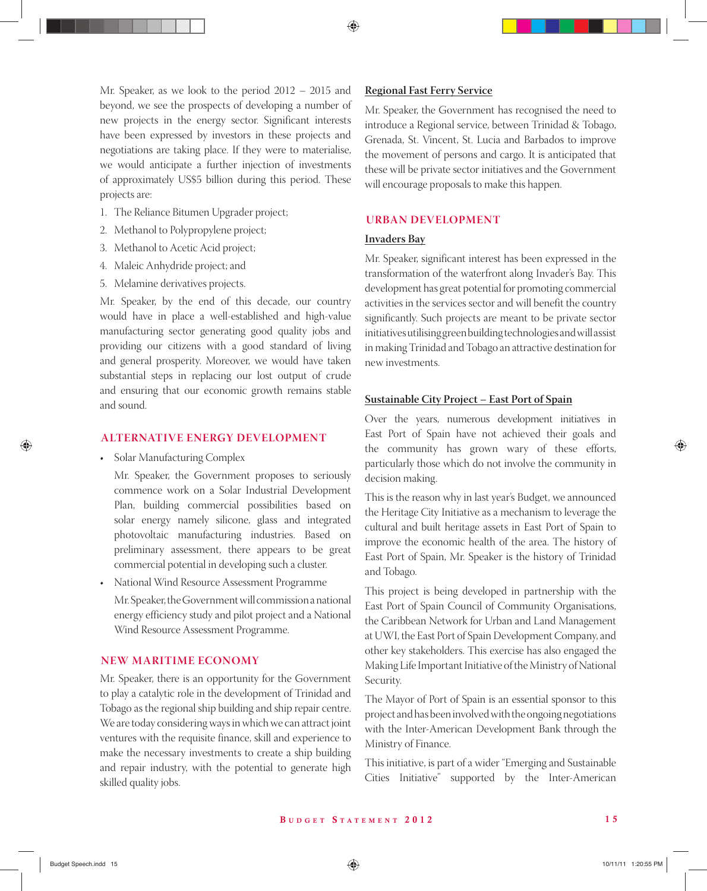Mr. Speaker, as we look to the period 2012 – 2015 and beyond, we see the prospects of developing a number of new projects in the energy sector. Significant interests have been expressed by investors in these projects and negotiations are taking place. If they were to materialise, we would anticipate a further injection of investments of approximately US\$5 billion during this period. These projects are:

- 1. The Reliance Bitumen Upgrader project;
- 2. Methanol to Polypropylene project;
- 3. Methanol to Acetic Acid project;
- 4. Maleic Anhydride project; and
- 5. Melamine derivatives projects.

Mr. Speaker, by the end of this decade, our country would have in place a well-established and high-value manufacturing sector generating good quality jobs and providing our citizens with a good standard of living and general prosperity. Moreover, we would have taken substantial steps in replacing our lost output of crude and ensuring that our economic growth remains stable and sound.

#### **ALTERNATIVE ENERGY DEVELOPMENT**

• Solar Manufacturing Complex

 Mr. Speaker, the Government proposes to seriously commence work on a Solar Industrial Development Plan, building commercial possibilities based on solar energy namely silicone, glass and integrated photovoltaic manufacturing industries. Based on preliminary assessment, there appears to be great commercial potential in developing such a cluster.

• National Wind Resource Assessment Programme Mr. Speaker, the Government will commission a national energy efficiency study and pilot project and a National Wind Resource Assessment Programme.

#### **NEW MARITIME ECONOMY**

Mr. Speaker, there is an opportunity for the Government to play a catalytic role in the development of Trinidad and Tobago as the regional ship building and ship repair centre. We are today considering ways in which we can attract joint ventures with the requisite finance, skill and experience to make the necessary investments to create a ship building and repair industry, with the potential to generate high skilled quality jobs.

#### **Regional Fast Ferry Service**

Mr. Speaker, the Government has recognised the need to introduce a Regional service, between Trinidad & Tobago, Grenada, St. Vincent, St. Lucia and Barbados to improve the movement of persons and cargo. It is anticipated that these will be private sector initiatives and the Government will encourage proposals to make this happen.

#### **URBAN DEVELOPMENT**

#### **Invaders Bay**

Mr. Speaker, significant interest has been expressed in the transformation of the waterfront along Invader's Bay. This development has great potential for promoting commercial activities in the services sector and will benefit the country significantly. Such projects are meant to be private sector initiatives utilising green building technologies and will assist in making Trinidad and Tobago an attractive destination for new investments.

#### **Sustainable City Project – East Port of Spain**

Over the years, numerous development initiatives in East Port of Spain have not achieved their goals and the community has grown wary of these efforts, particularly those which do not involve the community in decision making.

This is the reason why in last year's Budget, we announced the Heritage City Initiative as a mechanism to leverage the cultural and built heritage assets in East Port of Spain to improve the economic health of the area. The history of East Port of Spain, Mr. Speaker is the history of Trinidad and Tobago.

This project is being developed in partnership with the East Port of Spain Council of Community Organisations, the Caribbean Network for Urban and Land Management at UWI, the East Port of Spain Development Company, and other key stakeholders. This exercise has also engaged the Making Life Important Initiative of the Ministry of National Security.

The Mayor of Port of Spain is an essential sponsor to this project and has been involved with the ongoing negotiations with the Inter-American Development Bank through the Ministry of Finance.

This initiative, is part of a wider "Emerging and Sustainable Cities Initiative" supported by the Inter-American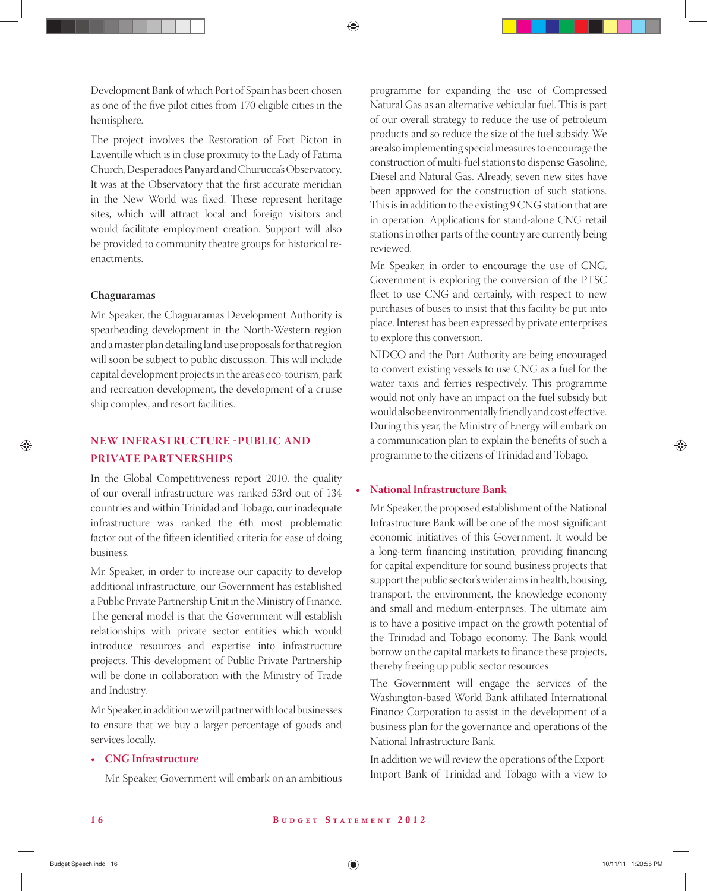Development Bank of which Port of Spain has been chosen as one of the five pilot cities from 170 eligible cities in the hemisphere.

The project involves the Restoration of Fort Picton in Laventille which is in close proximity to the Lady of Fatima Church, Desperadoes Panyard and Churucca's Observatory. It was at the Observatory that the first accurate meridian in the New World was fixed. These represent heritage sites, which will attract local and foreign visitors and would facilitate employment creation. Support will also be provided to community theatre groups for historical reenactments.

#### **Chaguaramas**

Mr. Speaker, the Chaguaramas Development Authority is spearheading development in the North-Western region and a master plan detailing land use proposals for that region will soon be subject to public discussion. This will include capital development projects in the areas eco-tourism, park and recreation development, the development of a cruise ship complex, and resort facilities.

## **NEW INFRASTRUCTURE PUBLIC AND PRIVATE PARTNERSHIPS**

In the Global Competitiveness report 2010, the quality of our overall infrastructure was ranked 53rd out of 134 countries and within Trinidad and Tobago, our inadequate infrastructure was ranked the 6th most problematic factor out of the fifteen identified criteria for ease of doing business.

Mr. Speaker, in order to increase our capacity to develop additional infrastructure, our Government has established a Public Private Partnership Unit in the Ministry of Finance. The general model is that the Government will establish relationships with private sector entities which would introduce resources and expertise into infrastructure projects. This development of Public Private Partnership will be done in collaboration with the Ministry of Trade and Industry.

Mr. Speaker, in addition we will partner with local businesses to ensure that we buy a larger percentage of goods and services locally.

#### **• CNG Infrastructure**

Mr. Speaker, Government will embark on an ambitious

programme for expanding the use of Compressed Natural Gas as an alternative vehicular fuel. This is part of our overall strategy to reduce the use of petroleum products and so reduce the size of the fuel subsidy. We are also implementing special measures to encourage the construction of multi-fuel stations to dispense Gasoline, Diesel and Natural Gas. Already, seven new sites have been approved for the construction of such stations. This is in addition to the existing 9 CNG station that are in operation. Applications for stand-alone CNG retail stations in other parts of the country are currently being reviewed.

 Mr. Speaker, in order to encourage the use of CNG, Government is exploring the conversion of the PTSC fleet to use CNG and certainly, with respect to new purchases of buses to insist that this facility be put into place. Interest has been expressed by private enterprises to explore this conversion.

 NIDCO and the Port Authority are being encouraged to convert existing vessels to use CNG as a fuel for the water taxis and ferries respectively. This programme would not only have an impact on the fuel subsidy but would also be environmentally friendly and cost effective. During this year, the Ministry of Energy will embark on a communication plan to explain the benefits of such a programme to the citizens of Trinidad and Tobago.

#### **• National Infrastructure Bank**

 Mr. Speaker, the proposed establishment of the National Infrastructure Bank will be one of the most significant economic initiatives of this Government. It would be a long-term financing institution, providing financing for capital expenditure for sound business projects that support the public sector's wider aims in health, housing, transport, the environment, the knowledge economy and small and medium-enterprises. The ultimate aim is to have a positive impact on the growth potential of the Trinidad and Tobago economy. The Bank would borrow on the capital markets to finance these projects, thereby freeing up public sector resources.

 The Government will engage the services of the Washington-based World Bank affiliated International Finance Corporation to assist in the development of a business plan for the governance and operations of the National Infrastructure Bank.

 In addition we will review the operations of the Export-Import Bank of Trinidad and Tobago with a view to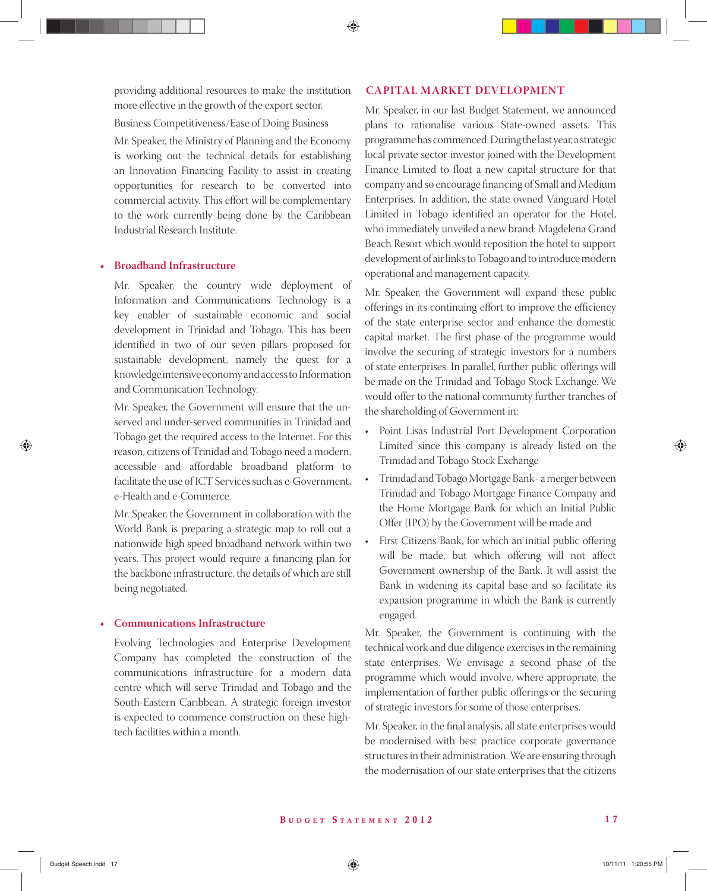providing additional resources to make the institution more effective in the growth of the export sector.

Business Competitiveness/Ease of Doing Business

 Mr. Speaker, the Ministry of Planning and the Economy is working out the technical details for establishing an Innovation Financing Facility to assist in creating opportunities for research to be converted into commercial activity. This effort will be complementary to the work currently being done by the Caribbean Industrial Research Institute.

#### **• Broadband Infrastructure**

 Mr. Speaker, the country wide deployment of Information and Communications Technology is a key enabler of sustainable economic and social development in Trinidad and Tobago. This has been identified in two of our seven pillars proposed for sustainable development, namely the quest for a knowledge intensive economy and access to Information and Communication Technology.

 Mr. Speaker, the Government will ensure that the unserved and under-served communities in Trinidad and Tobago get the required access to the Internet. For this reason, citizens of Trinidad and Tobago need a modern, accessible and affordable broadband platform to facilitate the use of ICT Services such as e-Government, e-Health and e-Commerce.

 Mr. Speaker, the Government in collaboration with the World Bank is preparing a strategic map to roll out a nationwide high speed broadband network within two years. This project would require a financing plan for the backbone infrastructure, the details of which are still being negotiated.

#### **• Communications Infrastructure**

 Evolving Technologies and Enterprise Development Company has completed the construction of the communications infrastructure for a modern data centre which will serve Trinidad and Tobago and the South-Eastern Caribbean. A strategic foreign investor is expected to commence construction on these hightech facilities within a month.

#### **CAPITAL MARKET DEVELOPMENT**

Mr. Speaker, in our last Budget Statement, we announced plans to rationalise various State-owned assets. This programme has commenced. During the last year, a strategic local private sector investor joined with the Development Finance Limited to float a new capital structure for that company and so encourage financing of Small and Medium Enterprises. In addition, the state owned Vanguard Hotel Limited in Tobago identified an operator for the Hotel, who immediately unveiled a new brand: Magdelena Grand Beach Resort which would reposition the hotel to support development of air links to Tobago and to introduce modern operational and management capacity.

Mr. Speaker, the Government will expand these public offerings in its continuing effort to improve the efficiency of the state enterprise sector and enhance the domestic capital market. The first phase of the programme would involve the securing of strategic investors for a numbers of state enterprises. In parallel, further public offerings will be made on the Trinidad and Tobago Stock Exchange. We would offer to the national community further tranches of the shareholding of Government in:

- Point Lisas Industrial Port Development Corporation Limited since this company is already listed on the Trinidad and Tobago Stock Exchange
- Trinidad and Tobago Mortgage Bank a merger between Trinidad and Tobago Mortgage Finance Company and the Home Mortgage Bank for which an Initial Public Offer (IPO) by the Government will be made and
- First Citizens Bank, for which an initial public offering will be made, but which offering will not affect Government ownership of the Bank. It will assist the Bank in widening its capital base and so facilitate its expansion programme in which the Bank is currently engaged.

Mr. Speaker, the Government is continuing with the technical work and due diligence exercises in the remaining state enterprises. We envisage a second phase of the programme which would involve, where appropriate, the implementation of further public offerings or the securing of strategic investors for some of those enterprises.

Mr. Speaker, in the final analysis, all state enterprises would be modernised with best practice corporate governance structures in their administration. We are ensuring through the modernisation of our state enterprises that the citizens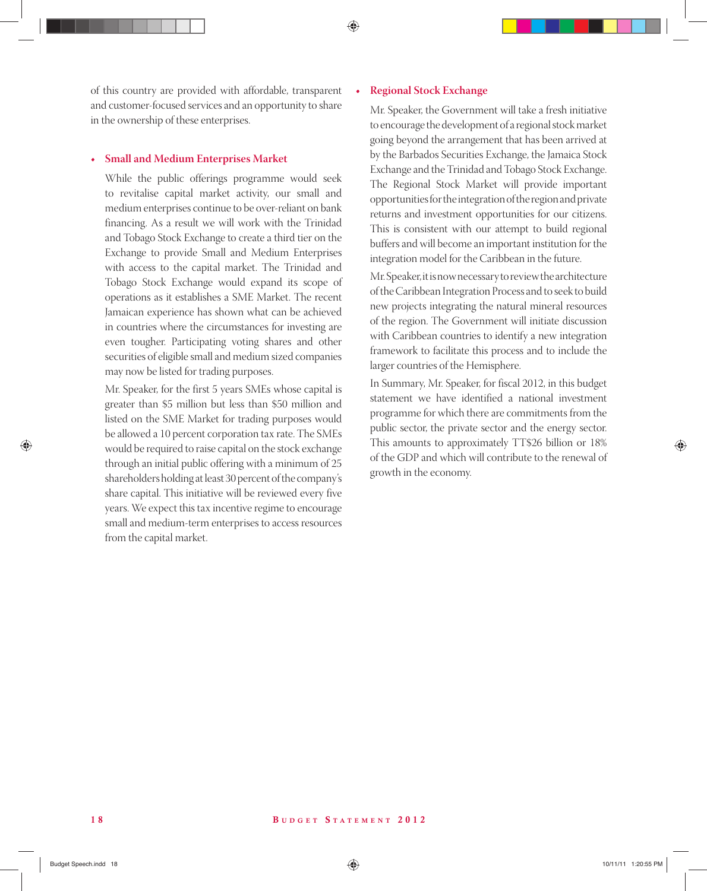of this country are provided with affordable, transparent and customer-focused services and an opportunity to share in the ownership of these enterprises.

#### **• Small and Medium Enterprises Market**

 While the public offerings programme would seek to revitalise capital market activity, our small and medium enterprises continue to be over-reliant on bank financing. As a result we will work with the Trinidad and Tobago Stock Exchange to create a third tier on the Exchange to provide Small and Medium Enterprises with access to the capital market. The Trinidad and Tobago Stock Exchange would expand its scope of operations as it establishes a SME Market. The recent Jamaican experience has shown what can be achieved in countries where the circumstances for investing are even tougher. Participating voting shares and other securities of eligible small and medium sized companies may now be listed for trading purposes.

 Mr. Speaker, for the first 5 years SMEs whose capital is greater than \$5 million but less than \$50 million and listed on the SME Market for trading purposes would be allowed a 10 percent corporation tax rate. The SMEs would be required to raise capital on the stock exchange through an initial public offering with a minimum of 25 shareholders holding at least 30 percent of the company's share capital. This initiative will be reviewed every five years. We expect this tax incentive regime to encourage small and medium-term enterprises to access resources from the capital market.

#### **• Regional Stock Exchange**

 Mr. Speaker, the Government will take a fresh initiative to encourage the development of a regional stock market going beyond the arrangement that has been arrived at by the Barbados Securities Exchange, the Jamaica Stock Exchange and the Trinidad and Tobago Stock Exchange. The Regional Stock Market will provide important opportunities for the integration of the region and private returns and investment opportunities for our citizens. This is consistent with our attempt to build regional buffers and will become an important institution for the integration model for the Caribbean in the future.

 Mr. Speaker, it is now necessary to review the architecture of the Caribbean Integration Process and to seek to build new projects integrating the natural mineral resources of the region. The Government will initiate discussion with Caribbean countries to identify a new integration framework to facilitate this process and to include the larger countries of the Hemisphere.

 In Summary, Mr. Speaker, for fiscal 2012, in this budget statement we have identified a national investment programme for which there are commitments from the public sector, the private sector and the energy sector. This amounts to approximately TT\$26 billion or 18% of the GDP and which will contribute to the renewal of growth in the economy.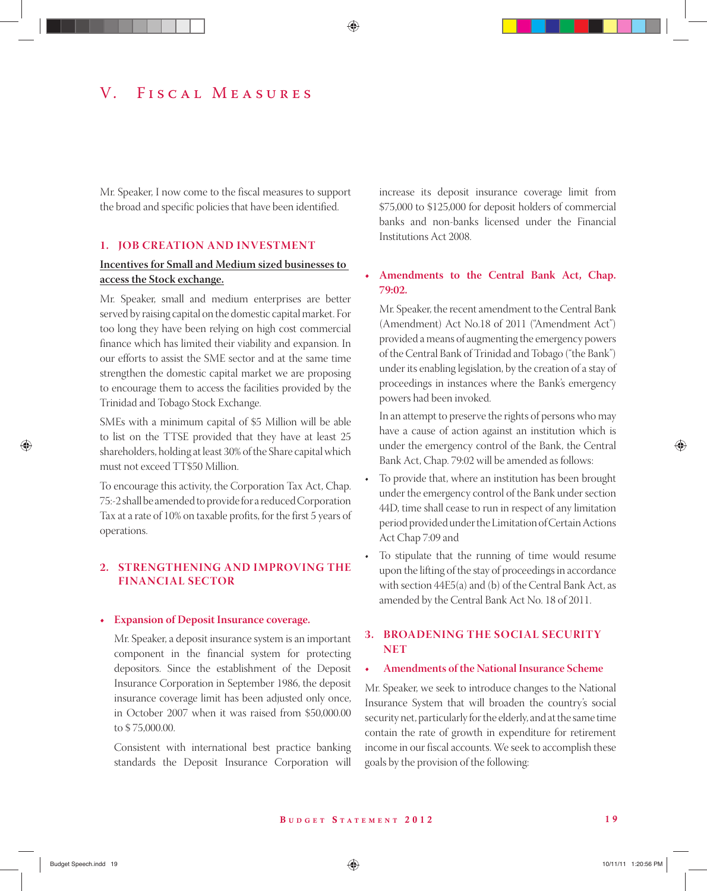# V. F i s c a l M e a s u r e s

Mr. Speaker, I now come to the fiscal measures to support the broad and specific policies that have been identified.

#### **1. JOB CREATION AND INVESTMENT**

#### **Incentives for Small and Medium sized businesses to access the Stock exchange.**

Mr. Speaker, small and medium enterprises are better served by raising capital on the domestic capital market. For too long they have been relying on high cost commercial finance which has limited their viability and expansion. In our efforts to assist the SME sector and at the same time strengthen the domestic capital market we are proposing to encourage them to access the facilities provided by the Trinidad and Tobago Stock Exchange.

SMEs with a minimum capital of \$5 Million will be able to list on the TTSE provided that they have at least 25 shareholders, holding at least 30% of the Share capital which must not exceed TT\$50 Million.

To encourage this activity, the Corporation Tax Act, Chap. 75:-2 shall be amended to provide for a reduced Corporation Tax at a rate of 10% on taxable profits, for the first 5 years of operations.

#### **2. STRENGTHENING AND IMPROVING THE FINANCIAL SECTOR**

#### **• Expansion of Deposit Insurance coverage.**

Mr. Speaker, a deposit insurance system is an important component in the financial system for protecting depositors. Since the establishment of the Deposit Insurance Corporation in September 1986, the deposit insurance coverage limit has been adjusted only once, in October 2007 when it was raised from \$50,000.00 to \$ 75,000.00.

Consistent with international best practice banking standards the Deposit Insurance Corporation will increase its deposit insurance coverage limit from \$75,000 to \$125,000 for deposit holders of commercial banks and non-banks licensed under the Financial Institutions Act 2008.

#### **• Amendments to the Central Bank Act, Chap. 79:02.**

 Mr. Speaker, the recent amendment to the Central Bank (Amendment) Act No.18 of 2011 ("Amendment Act") provided a means of augmenting the emergency powers of the Central Bank of Trinidad and Tobago ("the Bank") under its enabling legislation, by the creation of a stay of proceedings in instances where the Bank's emergency powers had been invoked.

 In an attempt to preserve the rights of persons who may have a cause of action against an institution which is under the emergency control of the Bank, the Central Bank Act, Chap. 79:02 will be amended as follows:

- To provide that, where an institution has been brought under the emergency control of the Bank under section 44D, time shall cease to run in respect of any limitation period provided under the Limitation of Certain Actions Act Chap 7:09 and
- To stipulate that the running of time would resume upon the lifting of the stay of proceedings in accordance with section 44E5(a) and (b) of the Central Bank Act, as amended by the Central Bank Act No. 18 of 2011.

#### **3. BROADENING THE SOCIAL SECURITY NET**

#### **• Amendments of the National Insurance Scheme**

Mr. Speaker, we seek to introduce changes to the National Insurance System that will broaden the country's social security net, particularly for the elderly, and at the same time contain the rate of growth in expenditure for retirement income in our fiscal accounts. We seek to accomplish these goals by the provision of the following: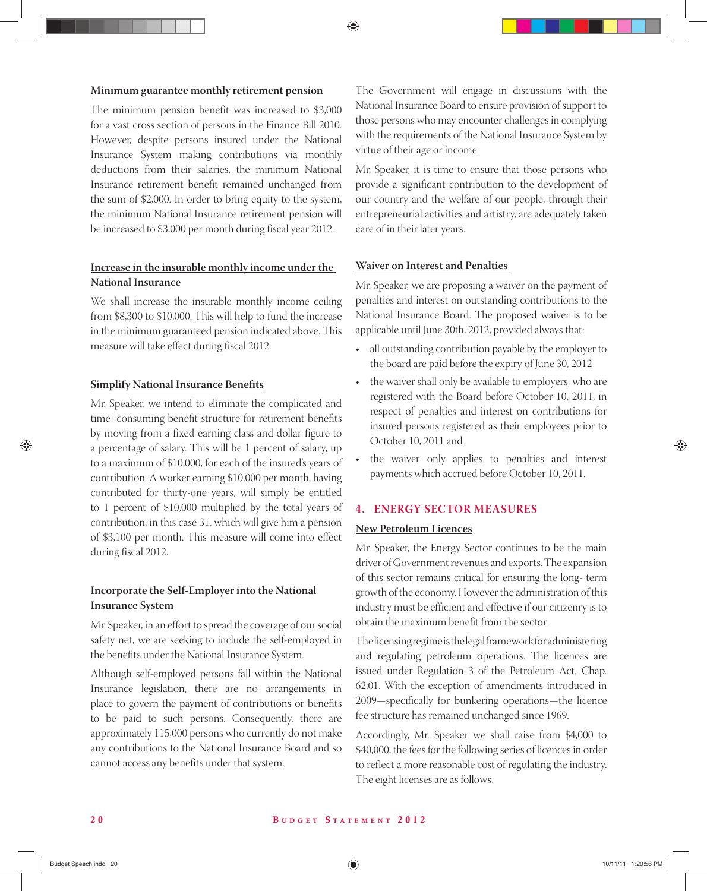#### **Minimum guarantee monthly retirement pension**

The minimum pension benefit was increased to \$3,000 for a vast cross section of persons in the Finance Bill 2010. However, despite persons insured under the National Insurance System making contributions via monthly deductions from their salaries, the minimum National Insurance retirement benefit remained unchanged from the sum of \$2,000. In order to bring equity to the system, the minimum National Insurance retirement pension will be increased to \$3,000 per month during fiscal year 2012.

#### **Increase in the insurable monthly income under the National Insurance**

We shall increase the insurable monthly income ceiling from \$8,300 to \$10,000. This will help to fund the increase in the minimum guaranteed pension indicated above. This measure will take effect during fiscal 2012.

#### **Simplify National Insurance Benefits**

Mr. Speaker, we intend to eliminate the complicated and time–consuming benefit structure for retirement benefits by moving from a fixed earning class and dollar figure to a percentage of salary. This will be 1 percent of salary, up to a maximum of \$10,000, for each of the insured's years of contribution. A worker earning \$10,000 per month, having contributed for thirty-one years, will simply be entitled to 1 percent of \$10,000 multiplied by the total years of contribution, in this case 31, which will give him a pension of \$3,100 per month. This measure will come into effect during fiscal 2012.

#### **Incorporate the Self-Employer into the National Insurance System**

Mr. Speaker, in an effort to spread the coverage of our social safety net, we are seeking to include the self-employed in the benefits under the National Insurance System.

Although self-employed persons fall within the National Insurance legislation, there are no arrangements in place to govern the payment of contributions or benefits to be paid to such persons. Consequently, there are approximately 115,000 persons who currently do not make any contributions to the National Insurance Board and so cannot access any benefits under that system.

The Government will engage in discussions with the National Insurance Board to ensure provision of support to those persons who may encounter challenges in complying with the requirements of the National Insurance System by virtue of their age or income.

Mr. Speaker, it is time to ensure that those persons who provide a significant contribution to the development of our country and the welfare of our people, through their entrepreneurial activities and artistry, are adequately taken care of in their later years.

#### **Waiver on Interest and Penalties**

Mr. Speaker, we are proposing a waiver on the payment of penalties and interest on outstanding contributions to the National Insurance Board. The proposed waiver is to be applicable until June 30th, 2012, provided always that:

- all outstanding contribution payable by the employer to the board are paid before the expiry of June 30, 2012
- the waiver shall only be available to employers, who are registered with the Board before October 10, 2011, in respect of penalties and interest on contributions for insured persons registered as their employees prior to October 10, 2011 and
- the waiver only applies to penalties and interest payments which accrued before October 10, 2011.

#### **4. ENERGY SECTOR MEASURES**

#### **New Petroleum Licences**

Mr. Speaker, the Energy Sector continues to be the main driver of Government revenues and exports. The expansion of this sector remains critical for ensuring the long- term growth of the economy. However the administration of this industry must be efficient and effective if our citizenry is to obtain the maximum benefit from the sector.

The licensing regime is the legal framework for administering and regulating petroleum operations. The licences are issued under Regulation 3 of the Petroleum Act, Chap. 62:01. With the exception of amendments introduced in 2009—specifically for bunkering operations—the licence fee structure has remained unchanged since 1969.

Accordingly, Mr. Speaker we shall raise from \$4,000 to \$40,000, the fees for the following series of licences in order to reflect a more reasonable cost of regulating the industry. The eight licenses are as follows: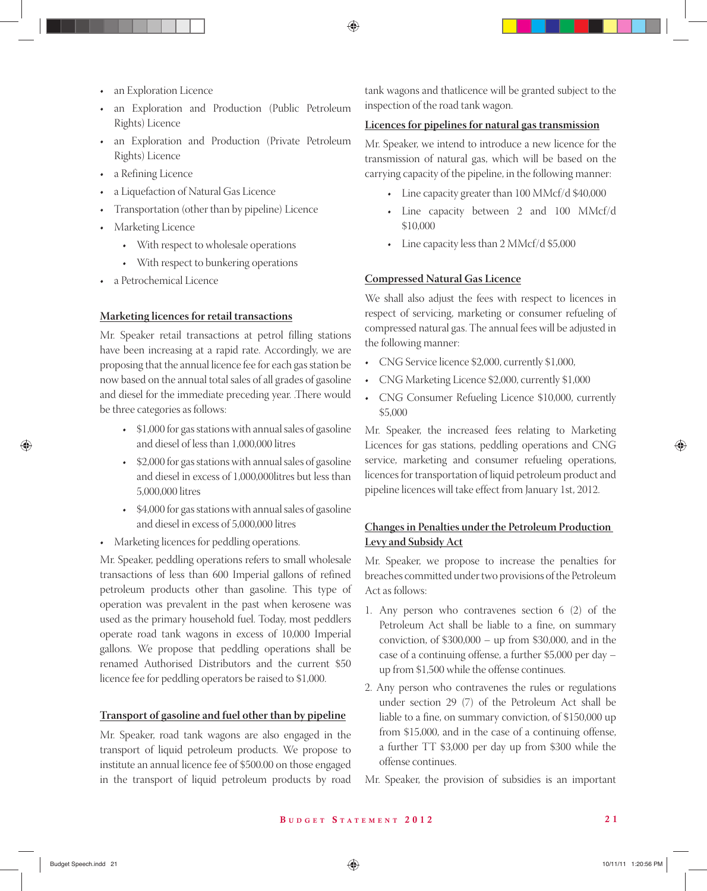- an Exploration Licence
- an Exploration and Production (Public Petroleum Rights) Licence
- an Exploration and Production (Private Petroleum Rights) Licence
- a Refining Licence
- a Liquefaction of Natural Gas Licence
- Transportation (other than by pipeline) Licence
- Marketing Licence
	- With respect to wholesale operations
	- With respect to bunkering operations
- a Petrochemical Licence

#### **Marketing licences for retail transactions**

Mr. Speaker retail transactions at petrol filling stations have been increasing at a rapid rate. Accordingly, we are proposing that the annual licence fee for each gas station be now based on the annual total sales of all grades of gasoline and diesel for the immediate preceding year. .There would be three categories as follows:

- \$1,000 for gas stations with annual sales of gasoline and diesel of less than 1,000,000 litres
- \$2,000 for gas stations with annual sales of gasoline and diesel in excess of 1,000,000litres but less than 5,000,000 litres
- \$4,000 for gas stations with annual sales of gasoline and diesel in excess of 5,000,000 litres
- Marketing licences for peddling operations.

Mr. Speaker, peddling operations refers to small wholesale transactions of less than 600 Imperial gallons of refined petroleum products other than gasoline. This type of operation was prevalent in the past when kerosene was used as the primary household fuel. Today, most peddlers operate road tank wagons in excess of 10,000 Imperial gallons. We propose that peddling operations shall be renamed Authorised Distributors and the current \$50 licence fee for peddling operators be raised to \$1,000.

#### **Transport of gasoline and fuel other than by pipeline**

Mr. Speaker, road tank wagons are also engaged in the transport of liquid petroleum products. We propose to institute an annual licence fee of \$500.00 on those engaged in the transport of liquid petroleum products by road

tank wagons and thatlicence will be granted subject to the inspection of the road tank wagon.

#### **Licences for pipelines for natural gas transmission**

Mr. Speaker, we intend to introduce a new licence for the transmission of natural gas, which will be based on the carrying capacity of the pipeline, in the following manner:

- Line capacity greater than 100 MMcf/d \$40,000
- Line capacity between 2 and 100 MMcf/d \$10,000
- Line capacity less than 2 MMcf/d \$5,000

#### **Compressed Natural Gas Licence**

We shall also adjust the fees with respect to licences in respect of servicing, marketing or consumer refueling of compressed natural gas. The annual fees will be adjusted in the following manner:

- CNG Service licence \$2,000, currently \$1,000,
- CNG Marketing Licence \$2,000, currently \$1,000
- CNG Consumer Refueling Licence \$10,000, currently \$5,000

Mr. Speaker, the increased fees relating to Marketing Licences for gas stations, peddling operations and CNG service, marketing and consumer refueling operations, licences for transportation of liquid petroleum product and pipeline licences will take effect from January 1st, 2012.

#### **Changes in Penalties under the Petroleum Production Levy and Subsidy Act**

Mr. Speaker, we propose to increase the penalties for breaches committed under two provisions of the Petroleum Act as follows:

- 1. Any person who contravenes section 6 (2) of the Petroleum Act shall be liable to a fine, on summary conviction, of \$300,000 – up from \$30,000, and in the case of a continuing offense, a further \$5,000 per day – up from \$1,500 while the offense continues.
- 2. Any person who contravenes the rules or regulations under section 29 (7) of the Petroleum Act shall be liable to a fine, on summary conviction, of \$150,000 up from \$15,000, and in the case of a continuing offense, a further TT \$3,000 per day up from \$300 while the offense continues.

Mr. Speaker, the provision of subsidies is an important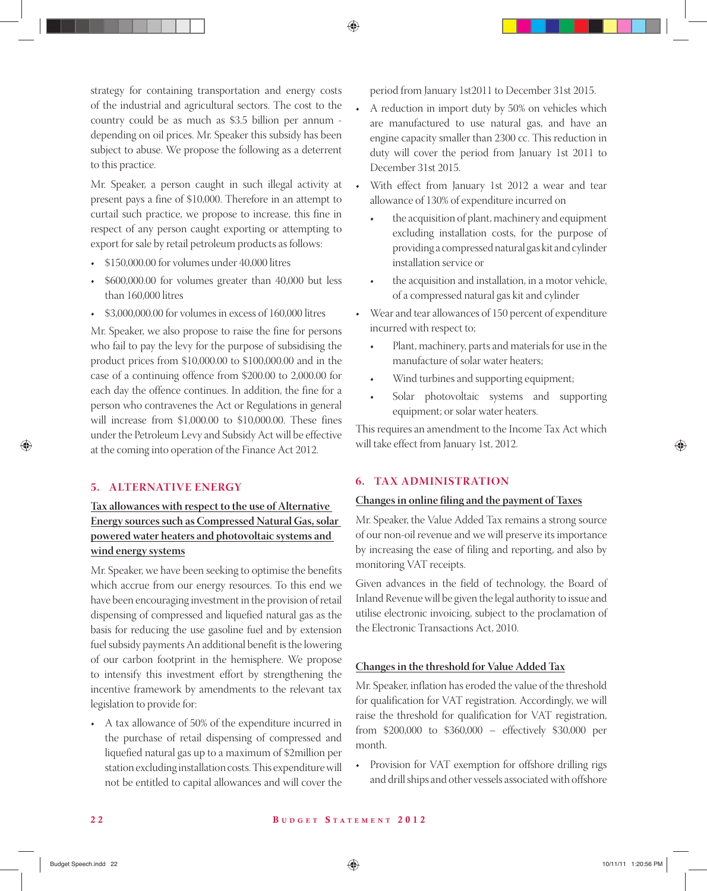strategy for containing transportation and energy costs of the industrial and agricultural sectors. The cost to the country could be as much as \$3.5 billion per annum depending on oil prices. Mr. Speaker this subsidy has been subject to abuse. We propose the following as a deterrent to this practice.

Mr. Speaker, a person caught in such illegal activity at present pays a fine of \$10,000. Therefore in an attempt to curtail such practice, we propose to increase, this fine in respect of any person caught exporting or attempting to export for sale by retail petroleum products as follows:

- \$150,000.00 for volumes under 40,000 litres
- \$600,000.00 for volumes greater than 40,000 but less than 160,000 litres
- \$3,000,000.00 for volumes in excess of 160,000 litres

Mr. Speaker, we also propose to raise the fine for persons who fail to pay the levy for the purpose of subsidising the product prices from \$10,000.00 to \$100,000.00 and in the case of a continuing offence from \$200.00 to 2,000.00 for each day the offence continues. In addition, the fine for a person who contravenes the Act or Regulations in general will increase from \$1,000.00 to \$10,000.00. These fines under the Petroleum Levy and Subsidy Act will be effective at the coming into operation of the Finance Act 2012.

#### **5. ALTERNATIVE ENERGY**

#### **Tax allowances with respect to the use of Alternative Energy sources such as Compressed Natural Gas, solar powered water heaters and photovoltaic systems and wind energy systems**

Mr. Speaker, we have been seeking to optimise the benefits which accrue from our energy resources. To this end we have been encouraging investment in the provision of retail dispensing of compressed and liquefied natural gas as the basis for reducing the use gasoline fuel and by extension fuel subsidy payments An additional benefit is the lowering of our carbon footprint in the hemisphere. We propose to intensify this investment effort by strengthening the incentive framework by amendments to the relevant tax legislation to provide for:

• A tax allowance of 50% of the expenditure incurred in the purchase of retail dispensing of compressed and liquefied natural gas up to a maximum of \$2million per station excluding installation costs. This expenditure will not be entitled to capital allowances and will cover the

period from January 1st2011 to December 31st 2015.

- A reduction in import duty by 50% on vehicles which are manufactured to use natural gas, and have an engine capacity smaller than 2300 cc. This reduction in duty will cover the period from January 1st 2011 to December 31st 2015.
- With effect from January 1st 2012 a wear and tear allowance of 130% of expenditure incurred on
	- the acquisition of plant, machinery and equipment excluding installation costs, for the purpose of providing a compressed natural gas kit and cylinder installation service or
	- the acquisition and installation, in a motor vehicle, of a compressed natural gas kit and cylinder
- Wear and tear allowances of 150 percent of expenditure incurred with respect to;
	- Plant, machinery, parts and materials for use in the manufacture of solar water heaters;
	- Wind turbines and supporting equipment;
	- Solar photovoltaic systems and supporting equipment; or solar water heaters.

This requires an amendment to the Income Tax Act which will take effect from January 1st, 2012.

#### **6. TAX ADMINISTRATION**

#### **Changes in online filing and the payment of Taxes**

Mr. Speaker, the Value Added Tax remains a strong source of our non-oil revenue and we will preserve its importance by increasing the ease of filing and reporting, and also by monitoring VAT receipts.

Given advances in the field of technology, the Board of Inland Revenue will be given the legal authority to issue and utilise electronic invoicing, subject to the proclamation of the Electronic Transactions Act, 2010.

#### **Changes in the threshold for Value Added Tax**

Mr. Speaker, inflation has eroded the value of the threshold for qualification for VAT registration. Accordingly, we will raise the threshold for qualification for VAT registration, from \$200,000 to \$360,000 – effectively \$30,000 per month.

• Provision for VAT exemption for offshore drilling rigs and drill ships and other vessels associated with offshore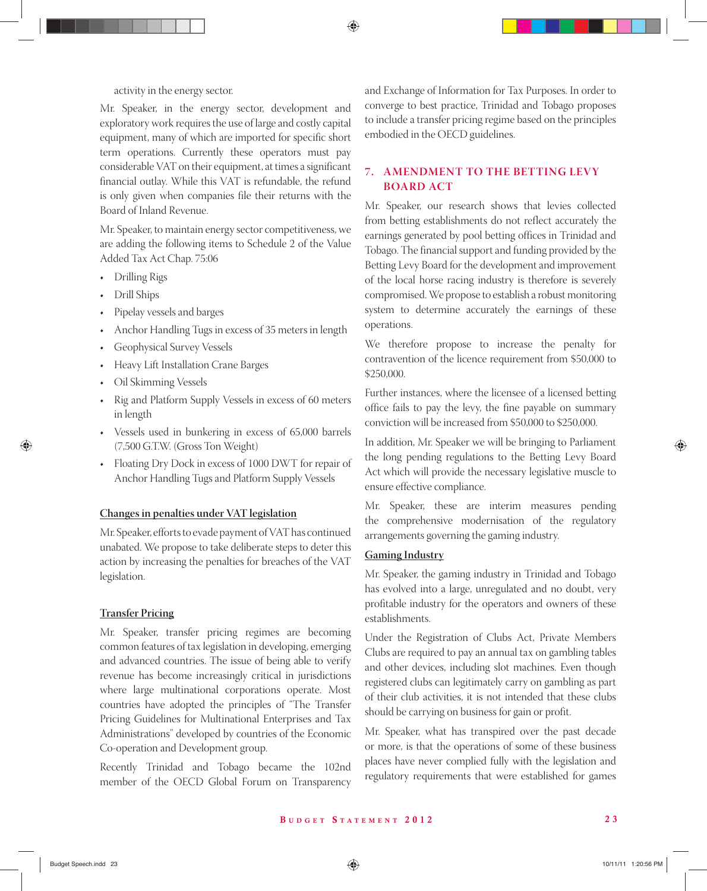activity in the energy sector.

Mr. Speaker, in the energy sector, development and exploratory work requires the use of large and costly capital equipment, many of which are imported for specific short term operations. Currently these operators must pay considerable VAT on their equipment, at times a significant financial outlay. While this VAT is refundable, the refund is only given when companies file their returns with the Board of Inland Revenue.

Mr. Speaker, to maintain energy sector competitiveness, we are adding the following items to Schedule 2 of the Value Added Tax Act Chap. 75:06

- Drilling Rigs
- Drill Ships
- Pipelay vessels and barges
- Anchor Handling Tugs in excess of 35 meters in length
- Geophysical Survey Vessels
- Heavy Lift Installation Crane Barges
- Oil Skimming Vessels
- Rig and Platform Supply Vessels in excess of 60 meters in length
- Vessels used in bunkering in excess of 65,000 barrels (7,500 G.T.W. (Gross Ton Weight)
- Floating Dry Dock in excess of 1000 DWT for repair of Anchor Handling Tugs and Platform Supply Vessels

#### **Changes in penalties under VAT legislation**

Mr. Speaker, efforts to evade payment of VAT has continued unabated. We propose to take deliberate steps to deter this action by increasing the penalties for breaches of the VAT legislation.

#### **Transfer Pricing**

Mr. Speaker, transfer pricing regimes are becoming common features of tax legislation in developing, emerging and advanced countries. The issue of being able to verify revenue has become increasingly critical in jurisdictions where large multinational corporations operate. Most countries have adopted the principles of "The Transfer Pricing Guidelines for Multinational Enterprises and Tax Administrations" developed by countries of the Economic Co-operation and Development group.

Recently Trinidad and Tobago became the 102nd member of the OECD Global Forum on Transparency

and Exchange of Information for Tax Purposes. In order to converge to best practice, Trinidad and Tobago proposes to include a transfer pricing regime based on the principles embodied in the OECD guidelines.

#### **7. AMENDMENT TO THE BETTING LEVY BOARD ACT**

Mr. Speaker, our research shows that levies collected from betting establishments do not reflect accurately the earnings generated by pool betting offices in Trinidad and Tobago. The financial support and funding provided by the Betting Levy Board for the development and improvement of the local horse racing industry is therefore is severely compromised. We propose to establish a robust monitoring system to determine accurately the earnings of these operations.

We therefore propose to increase the penalty for contravention of the licence requirement from \$50,000 to \$250,000.

Further instances, where the licensee of a licensed betting office fails to pay the levy, the fine payable on summary conviction will be increased from \$50,000 to \$250,000.

In addition, Mr. Speaker we will be bringing to Parliament the long pending regulations to the Betting Levy Board Act which will provide the necessary legislative muscle to ensure effective compliance.

Mr. Speaker, these are interim measures pending the comprehensive modernisation of the regulatory arrangements governing the gaming industry.

#### **Gaming Industry**

Mr. Speaker, the gaming industry in Trinidad and Tobago has evolved into a large, unregulated and no doubt, very profitable industry for the operators and owners of these establishments.

Under the Registration of Clubs Act, Private Members Clubs are required to pay an annual tax on gambling tables and other devices, including slot machines. Even though registered clubs can legitimately carry on gambling as part of their club activities, it is not intended that these clubs should be carrying on business for gain or profit.

Mr. Speaker, what has transpired over the past decade or more, is that the operations of some of these business places have never complied fully with the legislation and regulatory requirements that were established for games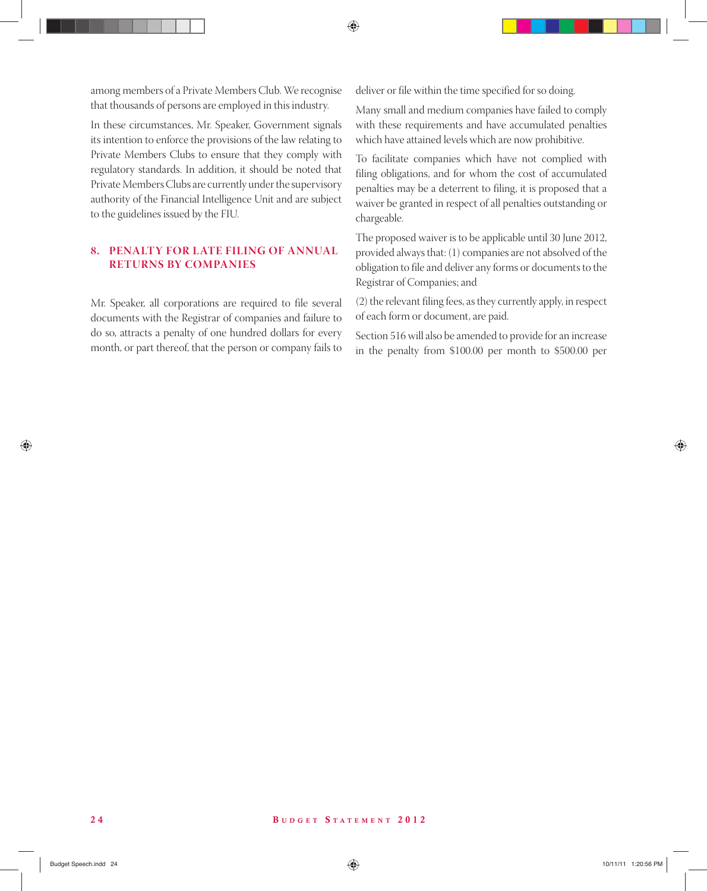among members of a Private Members Club. We recognise that thousands of persons are employed in this industry.

In these circumstances, Mr. Speaker, Government signals its intention to enforce the provisions of the law relating to Private Members Clubs to ensure that they comply with regulatory standards. In addition, it should be noted that Private Members Clubs are currently under the supervisory authority of the Financial Intelligence Unit and are subject to the guidelines issued by the FIU.

#### **8. PENALTY FOR LATE FILING OF ANNUAL RETURNS BY COMPANIES**

Mr. Speaker, all corporations are required to file several documents with the Registrar of companies and failure to do so, attracts a penalty of one hundred dollars for every month, or part thereof, that the person or company fails to deliver or file within the time specified for so doing.

Many small and medium companies have failed to comply with these requirements and have accumulated penalties which have attained levels which are now prohibitive.

To facilitate companies which have not complied with filing obligations, and for whom the cost of accumulated penalties may be a deterrent to filing, it is proposed that a waiver be granted in respect of all penalties outstanding or chargeable.

The proposed waiver is to be applicable until 30 June 2012, provided always that: (1) companies are not absolved of the obligation to file and deliver any forms or documents to the Registrar of Companies; and

(2) the relevant filing fees, as they currently apply, in respect of each form or document, are paid.

Section 516 will also be amended to provide for an increase in the penalty from \$100.00 per month to \$500.00 per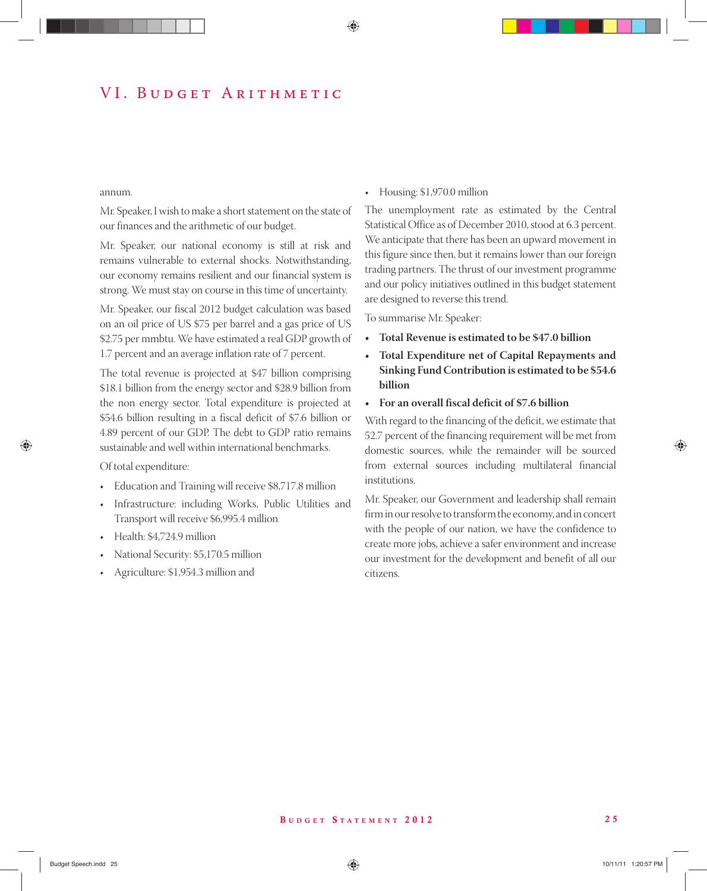#### annum.

Mr. Speaker, I wish to make a short statement on the state of our finances and the arithmetic of our budget.

Mr. Speaker, our national economy is still at risk and remains vulnerable to external shocks. Notwithstanding, our economy remains resilient and our financial system is strong. We must stay on course in this time of uncertainty.

Mr. Speaker, our fiscal 2012 budget calculation was based on an oil price of US \$75 per barrel and a gas price of US \$2.75 per mmbtu. We have estimated a real GDP growth of 1.7 percent and an average inflation rate of 7 percent.

The total revenue is projected at \$47 billion comprising \$18.1 billion from the energy sector and \$28.9 billion from the non energy sector. Total expenditure is projected at \$54.6 billion resulting in a fiscal deficit of \$7.6 billion or 4.89 percent of our GDP. The debt to GDP ratio remains sustainable and well within international benchmarks.

Of total expenditure:

- Education and Training will receive \$8,717.8 million
- Infrastructure: including Works, Public Utilities and Transport will receive \$6,995.4 million
- Health: \$4,724.9 million
- National Security: \$5,170.5 million
- Agriculture: \$1,954.3 million and

#### • Housing: \$1,970.0 million

The unemployment rate as estimated by the Central Statistical Office as of December 2010, stood at 6.3 percent. We anticipate that there has been an upward movement in this figure since then, but it remains lower than our foreign trading partners. The thrust of our investment programme and our policy initiatives outlined in this budget statement are designed to reverse this trend.

To summarise Mr. Speaker:

- **Total Revenue is estimated to be \$47.0 billion**
- **Total Expenditure net of Capital Repayments and Sinking Fund Contribution is estimated to be \$54.6 billion**
- **For an overall fiscal deficit of \$7.6 billion**

With regard to the financing of the deficit, we estimate that 52.7 percent of the financing requirement will be met from domestic sources, while the remainder will be sourced from external sources including multilateral financial institutions.

Mr. Speaker, our Government and leadership shall remain firm in our resolve to transform the economy, and in concert with the people of our nation, we have the confidence to create more jobs, achieve a safer environment and increase our investment for the development and benefit of all our citizens.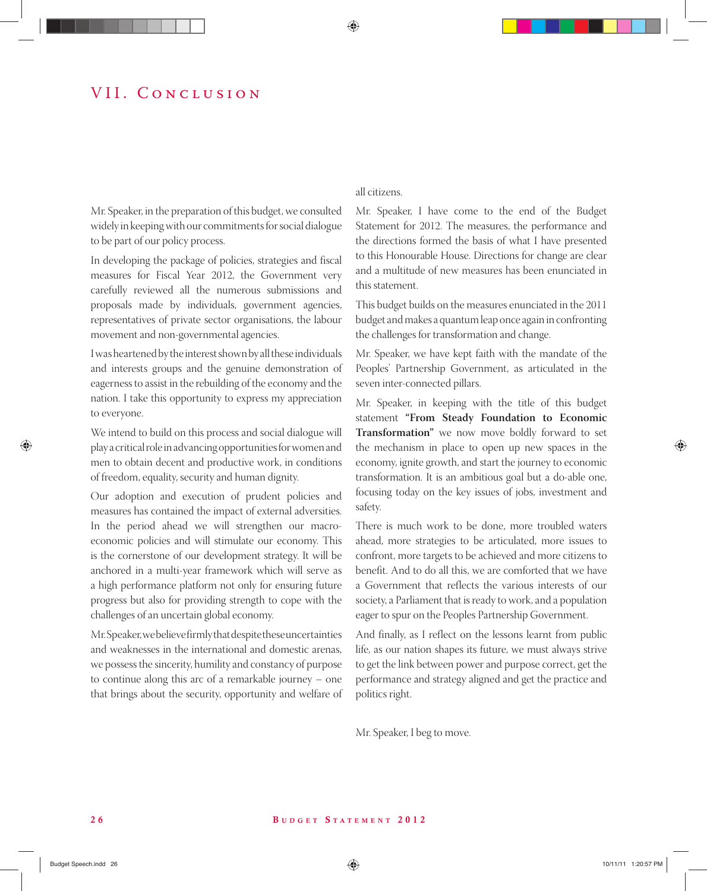## VII. Conclusion

Mr. Speaker, in the preparation of this budget, we consulted widely in keeping with our commitments for social dialogue to be part of our policy process.

In developing the package of policies, strategies and fiscal measures for Fiscal Year 2012, the Government very carefully reviewed all the numerous submissions and proposals made by individuals, government agencies, representatives of private sector organisations, the labour movement and non-governmental agencies.

I was heartened by the interest shown by all these individuals and interests groups and the genuine demonstration of eagerness to assist in the rebuilding of the economy and the nation. I take this opportunity to express my appreciation to everyone.

We intend to build on this process and social dialogue will play a critical role in advancing opportunities for women and men to obtain decent and productive work, in conditions of freedom, equality, security and human dignity.

Our adoption and execution of prudent policies and measures has contained the impact of external adversities. In the period ahead we will strengthen our macroeconomic policies and will stimulate our economy. This is the cornerstone of our development strategy. It will be anchored in a multi-year framework which will serve as a high performance platform not only for ensuring future progress but also for providing strength to cope with the challenges of an uncertain global economy.

Mr. Speaker, we believe firmly that despite these uncertainties and weaknesses in the international and domestic arenas, we possess the sincerity, humility and constancy of purpose to continue along this arc of a remarkable journey – one that brings about the security, opportunity and welfare of

#### all citizens.

Mr. Speaker, I have come to the end of the Budget Statement for 2012. The measures, the performance and the directions formed the basis of what I have presented to this Honourable House. Directions for change are clear and a multitude of new measures has been enunciated in this statement.

This budget builds on the measures enunciated in the 2011 budget and makes a quantum leap once again in confronting the challenges for transformation and change.

Mr. Speaker, we have kept faith with the mandate of the Peoples' Partnership Government, as articulated in the seven inter-connected pillars.

Mr. Speaker, in keeping with the title of this budget statement **"From Steady Foundation to Economic Transformation"** we now move boldly forward to set the mechanism in place to open up new spaces in the economy, ignite growth, and start the journey to economic transformation. It is an ambitious goal but a do-able one, focusing today on the key issues of jobs, investment and safety.

There is much work to be done, more troubled waters ahead, more strategies to be articulated, more issues to confront, more targets to be achieved and more citizens to benefit. And to do all this, we are comforted that we have a Government that reflects the various interests of our society, a Parliament that is ready to work, and a population eager to spur on the Peoples Partnership Government.

And finally, as I reflect on the lessons learnt from public life, as our nation shapes its future, we must always strive to get the link between power and purpose correct, get the performance and strategy aligned and get the practice and politics right.

Mr. Speaker, I beg to move.